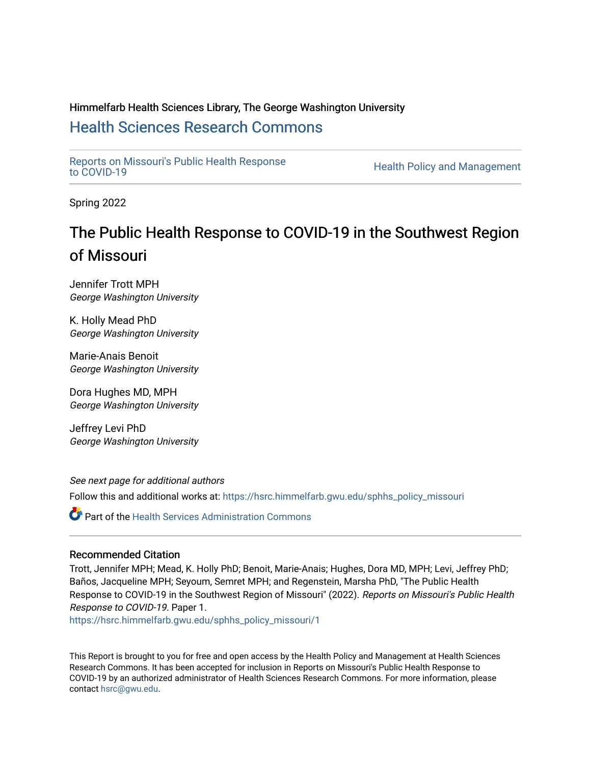### Himmelfarb Health Sciences Library, The George Washington University [Health Sciences Research Commons](https://hsrc.himmelfarb.gwu.edu/)

[Reports on Missouri's Public Health Response](https://hsrc.himmelfarb.gwu.edu/sphhs_policy_missouri)

Health Policy and Management

Spring 2022

## The Public Health Response to COVID-19 in the Southwest Region of Missouri

Jennifer Trott MPH George Washington University

K. Holly Mead PhD George Washington University

Marie-Anais Benoit George Washington University

Dora Hughes MD, MPH George Washington University

Jeffrey Levi PhD George Washington University

See next page for additional authors

Follow this and additional works at: [https://hsrc.himmelfarb.gwu.edu/sphhs\\_policy\\_missouri](https://hsrc.himmelfarb.gwu.edu/sphhs_policy_missouri?utm_source=hsrc.himmelfarb.gwu.edu%2Fsphhs_policy_missouri%2F1&utm_medium=PDF&utm_campaign=PDFCoverPages)

**P** Part of the Health Services Administration Commons

#### Recommended Citation

Trott, Jennifer MPH; Mead, K. Holly PhD; Benoit, Marie-Anais; Hughes, Dora MD, MPH; Levi, Jeffrey PhD; Baños, Jacqueline MPH; Seyoum, Semret MPH; and Regenstein, Marsha PhD, "The Public Health Response to COVID-19 in the Southwest Region of Missouri" (2022). Reports on Missouri's Public Health Response to COVID-19. Paper 1.

[https://hsrc.himmelfarb.gwu.edu/sphhs\\_policy\\_missouri/1](https://hsrc.himmelfarb.gwu.edu/sphhs_policy_missouri/1?utm_source=hsrc.himmelfarb.gwu.edu%2Fsphhs_policy_missouri%2F1&utm_medium=PDF&utm_campaign=PDFCoverPages) 

This Report is brought to you for free and open access by the Health Policy and Management at Health Sciences Research Commons. It has been accepted for inclusion in Reports on Missouri's Public Health Response to COVID-19 by an authorized administrator of Health Sciences Research Commons. For more information, please contact [hsrc@gwu.edu.](mailto:hsrc@gwu.edu)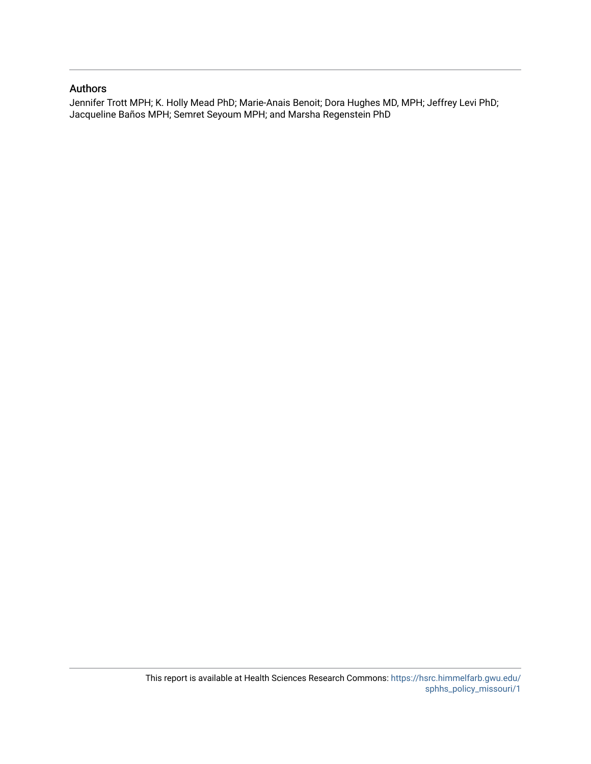#### Authors

Jennifer Trott MPH; K. Holly Mead PhD; Marie-Anais Benoit; Dora Hughes MD, MPH; Jeffrey Levi PhD; Jacqueline Baños MPH; Semret Seyoum MPH; and Marsha Regenstein PhD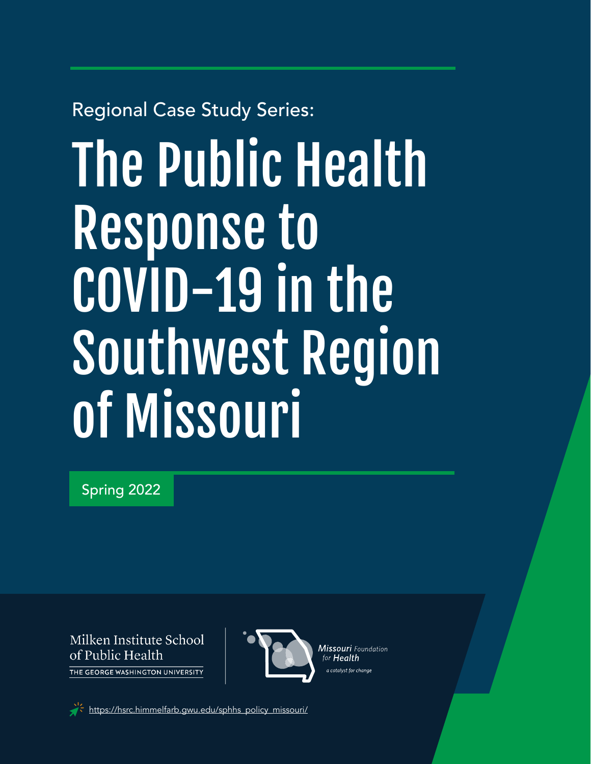## Regional Case Study Series:

# The Public Health Response to COVID-19 in the Southwest Region of Missouri

Spring 2022

Milken Institute School of Public Health THE GEORGE WASHINGTON UNIVERSITY



Missouri Foundation for **Health** a catalvst for chanae

[https://hsrc.himmelfarb.gwu.edu/sphhs\\_policy\\_missouri/](https://hsrc.himmelfarb.gwu.edu/sphhs_policy_missouri/)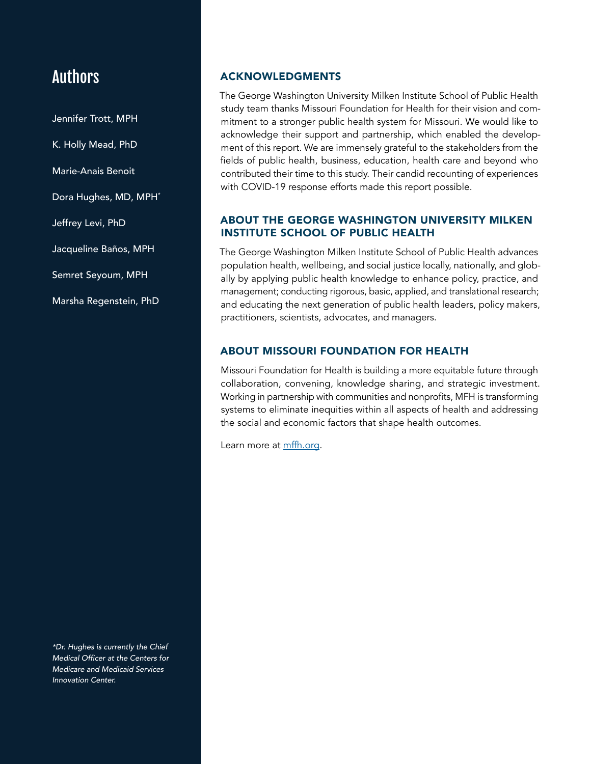### Authors

Jennifer Trott, MPH K. Holly Mead, PhD Marie-Anais Benoit Dora Hughes, MD, MPH\* Jeffrey Levi, PhD Jacqueline Baños, MPH Semret Seyoum, MPH Marsha Regenstein, PhD

*\*Dr. Hughes is currently the Chief*  Medical Officer at the Centers for *Medicare and Medicaid Services*  Innovation Center.

#### ACKNOWLEDGMENTS

The George Washington University Milken Institute School of Public Health study team thanks Missouri Foundation for Health for their vision and commitment to a stronger public health system for Missouri. We would like to acknowledge their support and partnership, which enabled the development of this report. We are immensely grateful to the stakeholders from the fields of public health, business, education, health care and beyond who contributed their time to this study. Their candid recounting of experiences with COVID-19 response efforts made this report possible.

#### ABOUT THE GEORGE WASHINGTON UNIVERSITY MILKEN INSTITUTE SCHOOL OF PUBLIC HEALTH

The George Washington Milken Institute School of Public Health advances population health, wellbeing, and social justice locally, nationally, and globally by applying public health knowledge to enhance policy, practice, and management; conducting rigorous, basic, applied, and translational research; and educating the next generation of public health leaders, policy makers, practitioners, scientists, advocates, and managers.

#### ABOUT MISSOURI FOUNDATION FOR HEALTH

Missouri Foundation for Health is building a more equitable future through collaboration, convening, knowledge sharing, and strategic investment. Working in partnership with communities and nonprofits, MFH is transforming systems to eliminate inequities within all aspects of health and addressing the social and economic factors that shape health outcomes.

Learn more at [mffh.org](https://mffh.org/).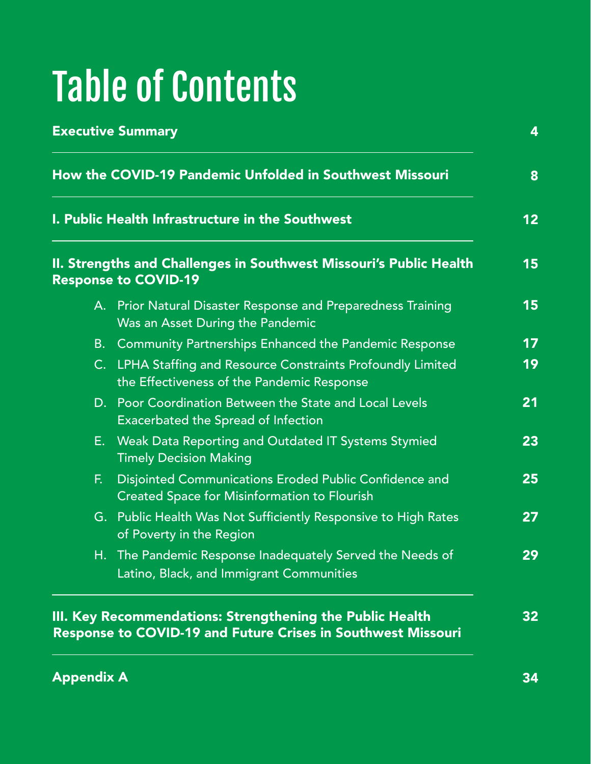# Table of Contents

| How the COVID-19 Pandemic Unfolded in Southwest Missouri                                                                                              |                                                                                                               |  |
|-------------------------------------------------------------------------------------------------------------------------------------------------------|---------------------------------------------------------------------------------------------------------------|--|
| I. Public Health Infrastructure in the Southwest<br>II. Strengths and Challenges in Southwest Missouri's Public Health<br><b>Response to COVID-19</b> |                                                                                                               |  |
|                                                                                                                                                       |                                                                                                               |  |
| <b>B.</b>                                                                                                                                             | Community Partnerships Enhanced the Pandemic Response                                                         |  |
|                                                                                                                                                       | C. LPHA Staffing and Resource Constraints Profoundly Limited<br>the Effectiveness of the Pandemic Response    |  |
|                                                                                                                                                       | D. Poor Coordination Between the State and Local Levels<br><b>Exacerbated the Spread of Infection</b>         |  |
| Е.                                                                                                                                                    | Weak Data Reporting and Outdated IT Systems Stymied<br><b>Timely Decision Making</b>                          |  |
| F.                                                                                                                                                    | Disjointed Communications Eroded Public Confidence and<br><b>Created Space for Misinformation to Flourish</b> |  |
|                                                                                                                                                       | G. Public Health Was Not Sufficiently Responsive to High Rates<br>of Poverty in the Region                    |  |
|                                                                                                                                                       | H. The Pandemic Response Inadequately Served the Needs of<br>Latino, Black, and Immigrant Communities         |  |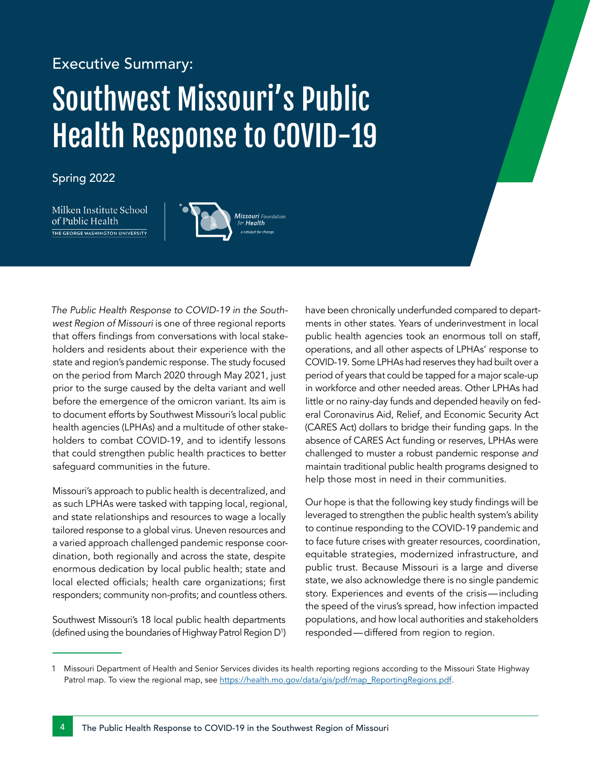# Executive Summary: Southwest Missouri's Public Health Response to COVID-19

#### Spring 2022

Milken Institute School of Public Health THE GEORGE WASHINGTON UNIVERSITY



*The Public Health Response to COVID-19 in the Southwest Region of Missouri* is one of three regional reports that offers findings from conversations with local stakeholders and residents about their experience with the state and region's pandemic response. The study focused on the period from March 2020 through May 2021, just prior to the surge caused by the delta variant and well before the emergence of the omicron variant. Its aim is to document efforts by Southwest Missouri's local public health agencies (LPHAs) and a multitude of other stakeholders to combat COVID-19, and to identify lessons that could strengthen public health practices to better safeguard communities in the future.

Missouri's approach to public health is decentralized, and as such LPHAs were tasked with tapping local, regional, and state relationships and resources to wage a locally tailored response to a global virus. Uneven resources and a varied approach challenged pandemic response coordination, both regionally and across the state, despite enormous dedication by local public health; state and local elected officials; health care organizations; first responders; community non-profits; and countless others.

Southwest Missouri's 18 local public health departments (defined using the boundaries of Highway Patrol Region D<sup>1</sup> )

have been chronically underfunded compared to departments in other states. Years of underinvestment in local public health agencies took an enormous toll on staff, operations, and all other aspects of LPHAs' response to COVID-19. Some LPHAs had reserves they had built over a period of years that could be tapped for a major scale-up in workforce and other needed areas. Other LPHAs had little or no rainy-day funds and depended heavily on federal Coronavirus Aid, Relief, and Economic Security Act (CARES Act) dollars to bridge their funding gaps. In the absence of CARES Act funding or reserves, LPHAs were challenged to muster a robust pandemic response *and* maintain traditional public health programs designed to help those most in need in their communities.

Our hope is that the following key study findings will be leveraged to strengthen the public health system's ability to continue responding to the COVID-19 pandemic and to face future crises with greater resources, coordination, equitable strategies, modernized infrastructure, and public trust. Because Missouri is a large and diverse state, we also acknowledge there is no single pandemic story. Experiences and events of the crisis—including the speed of the virus's spread, how infection impacted populations, and how local authorities and stakeholders responded—differed from region to region.

<sup>1</sup> Missouri Department of Health and Senior Services divides its health reporting regions according to the Missouri State Highway Patrol map. To view the regional map, see [https://health.mo.gov/data/gis/pdf/map\\_ReportingRegions.pdf](https://health.mo.gov/data/gis/pdf/map_ReportingRegions.pdf).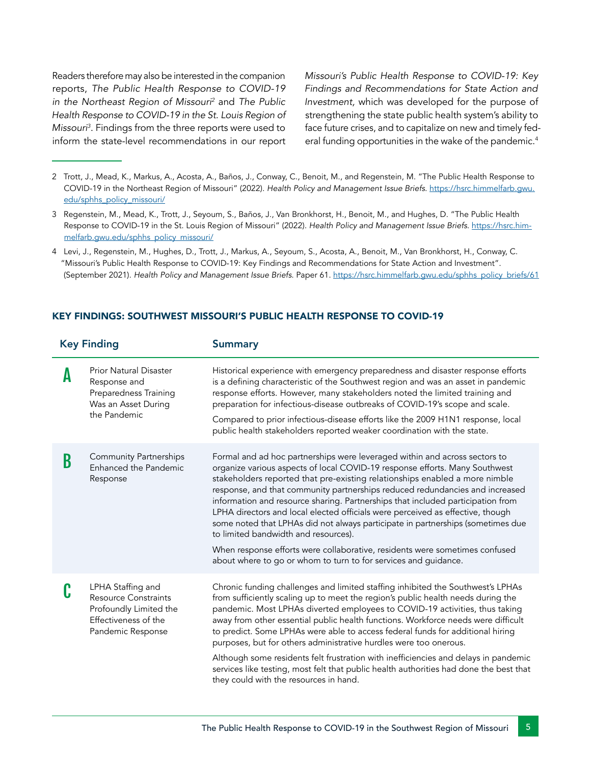Readers therefore may also be interested in the companion reports, *The Public Health Response to COVID-19 in the Northeast Region of Missouri2* and *The Public Health Response to COVID-19 in the St. Louis Region of Missouri3* . Findings from the three reports were used to inform the state-level recommendations in our report *Missouri's Public Health Response to COVID-19: Key Findings and Recommendations for State Action and Investment,* which was developed for the purpose of strengthening the state public health system's ability to face future crises, and to capitalize on new and timely federal funding opportunities in the wake of the pandemic.<sup>4</sup>

- 2 Trott, J., Mead, K., Markus, A., Acosta, A., Baños, J., Conway, C., Benoit, M., and Regenstein, M. "The Public Health Response to COVID-19 in the Northeast Region of Missouri" (2022). *Health Policy and Management Issue Briefs*. [https://hsrc.himmelfarb.gwu.](https://hsrc.himmelfarb.gwu.edu/sphhs_policy_missouri/) [edu/sphhs\\_policy\\_missouri/](https://hsrc.himmelfarb.gwu.edu/sphhs_policy_missouri/)
- 3 Regenstein, M., Mead, K., Trott, J., Seyoum, S., Baños, J., Van Bronkhorst, H., Benoit, M., and Hughes, D. "The Public Health Response to COVID-19 in the St. Louis Region of Missouri" (2022). *Health Policy and Management Issue Briefs*. [https://hsrc.him](https://hsrc.himmelfarb.gwu.edu/sphhs_policy_missouri/)[melfarb.gwu.edu/sphhs\\_policy\\_missouri/](https://hsrc.himmelfarb.gwu.edu/sphhs_policy_missouri/)
- 4 Levi, J., Regenstein, M., Hughes, D., Trott, J., Markus, A., Seyoum, S., Acosta, A., Benoit, M., Van Bronkhorst, H., Conway, C. "Missouri's Public Health Response to COVID-19: Key Findings and Recommendations for State Action and Investment". (September 2021). *Health Policy and Management Issue Briefs*. Paper 61. [https://hsrc.himmelfarb.gwu.edu/sphhs\\_policy\\_briefs/61](https://hsrc.himmelfarb.gwu.edu/sphhs_policy_briefs/61)

#### Key Finding Summary **A** Prior Natural Disaster Response and Preparedness Training Was an Asset During the Pandemic Historical experience with emergency preparedness and disaster response efforts is a defining characteristic of the Southwest region and was an asset in pandemic response efforts. However, many stakeholders noted the limited training and preparation for infectious-disease outbreaks of COVID-19's scope and scale. Compared to prior infectious-disease efforts like the 2009 H1N1 response, local public health stakeholders reported weaker coordination with the state. **B** Community Partnerships<br>
Enhanced the Pandemic Response Formal and ad hoc partnerships were leveraged within and across sectors to organize various aspects of local COVID-19 response efforts. Many Southwest stakeholders reported that pre-existing relationships enabled a more nimble response, and that community partnerships reduced redundancies and increased information and resource sharing. Partnerships that included participation from LPHA directors and local elected officials were perceived as effective, though some noted that LPHAs did not always participate in partnerships (sometimes due to limited bandwidth and resources). When response efforts were collaborative, residents were sometimes confused about where to go or whom to turn to for services and guidance. **C** LPHA Staffing and<br>Resource Constraints Profoundly Limited the Effectiveness of the Pandemic Response Chronic funding challenges and limited staffing inhibited the Southwest's LPHAs from sufficiently scaling up to meet the region's public health needs during the pandemic. Most LPHAs diverted employees to COVID-19 activities, thus taking away from other essential public health functions. Workforce needs were difficult to predict. Some LPHAs were able to access federal funds for additional hiring purposes, but for others administrative hurdles were too onerous. Although some residents felt frustration with inefficiencies and delays in pandemic services like testing, most felt that public health authorities had done the best that they could with the resources in hand.

#### KEY FINDINGS: SOUTHWEST MISSOURI'S PUBLIC HEALTH RESPONSE TO COVID-19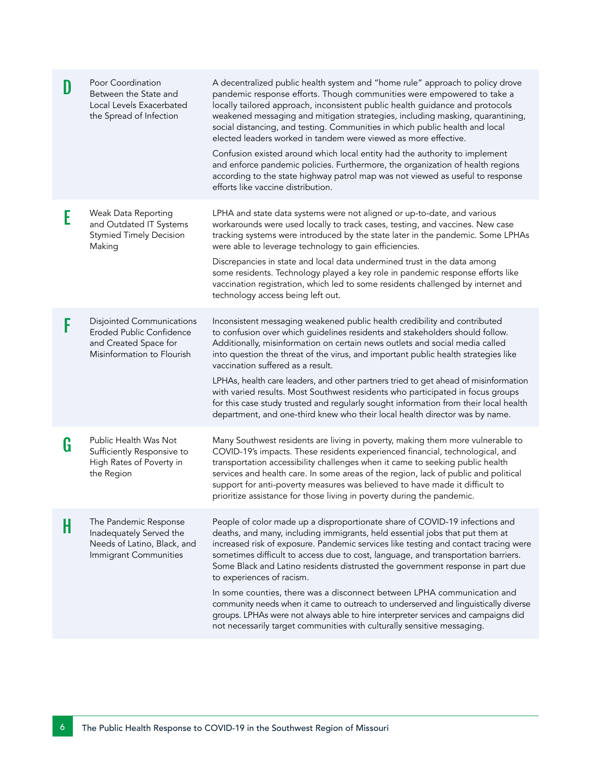|   | Poor Coordination<br>Between the State and<br>Local Levels Exacerbated<br>the Spread of Infection                   | A decentralized public health system and "home rule" approach to policy drove<br>pandemic response efforts. Though communities were empowered to take a<br>locally tailored approach, inconsistent public health guidance and protocols<br>weakened messaging and mitigation strategies, including masking, quarantining,<br>social distancing, and testing. Communities in which public health and local<br>elected leaders worked in tandem were viewed as more effective.<br>Confusion existed around which local entity had the authority to implement<br>and enforce pandemic policies. Furthermore, the organization of health regions<br>according to the state highway patrol map was not viewed as useful to response<br>efforts like vaccine distribution.                    |
|---|---------------------------------------------------------------------------------------------------------------------|-----------------------------------------------------------------------------------------------------------------------------------------------------------------------------------------------------------------------------------------------------------------------------------------------------------------------------------------------------------------------------------------------------------------------------------------------------------------------------------------------------------------------------------------------------------------------------------------------------------------------------------------------------------------------------------------------------------------------------------------------------------------------------------------|
| E | Weak Data Reporting<br>and Outdated IT Systems<br><b>Stymied Timely Decision</b><br>Making                          | LPHA and state data systems were not aligned or up-to-date, and various<br>workarounds were used locally to track cases, testing, and vaccines. New case<br>tracking systems were introduced by the state later in the pandemic. Some LPHAs<br>were able to leverage technology to gain efficiencies.<br>Discrepancies in state and local data undermined trust in the data among<br>some residents. Technology played a key role in pandemic response efforts like<br>vaccination registration, which led to some residents challenged by internet and<br>technology access being left out.                                                                                                                                                                                            |
|   | <b>Disjointed Communications</b><br>Eroded Public Confidence<br>and Created Space for<br>Misinformation to Flourish | Inconsistent messaging weakened public health credibility and contributed<br>to confusion over which guidelines residents and stakeholders should follow.<br>Additionally, misinformation on certain news outlets and social media called<br>into question the threat of the virus, and important public health strategies like<br>vaccination suffered as a result.<br>LPHAs, health care leaders, and other partners tried to get ahead of misinformation<br>with varied results. Most Southwest residents who participated in focus groups<br>for this case study trusted and regularly sought information from their local health<br>department, and one-third knew who their local health director was by name.                                                                    |
| G | Public Health Was Not<br>Sufficiently Responsive to<br>High Rates of Poverty in<br>the Region                       | Many Southwest residents are living in poverty, making them more vulnerable to<br>COVID-19's impacts. These residents experienced financial, technological, and<br>transportation accessibility challenges when it came to seeking public health<br>services and health care. In some areas of the region, lack of public and political<br>support for anti-poverty measures was believed to have made it difficult to<br>prioritize assistance for those living in poverty during the pandemic.                                                                                                                                                                                                                                                                                        |
| H | The Pandemic Response<br>Inadequately Served the<br>Needs of Latino, Black, and<br>Immigrant Communities            | People of color made up a disproportionate share of COVID-19 infections and<br>deaths, and many, including immigrants, held essential jobs that put them at<br>increased risk of exposure. Pandemic services like testing and contact tracing were<br>sometimes difficult to access due to cost, language, and transportation barriers.<br>Some Black and Latino residents distrusted the government response in part due<br>to experiences of racism.<br>In some counties, there was a disconnect between LPHA communication and<br>community needs when it came to outreach to underserved and linguistically diverse<br>groups. LPHAs were not always able to hire interpreter services and campaigns did<br>not necessarily target communities with culturally sensitive messaging. |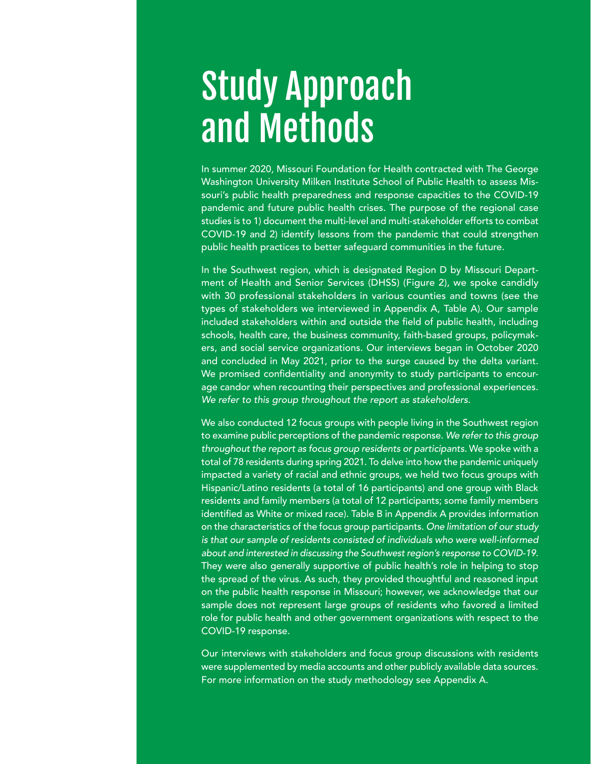# Study Approach and Methods

In summer 2020, Missouri Foundation for Health contracted with The George Washington University Milken Institute School of Public Health to assess Missouri's public health preparedness and response capacities to the COVID-19 pandemic and future public health crises. The purpose of the regional case studies is to 1) document the multi-level and multi-stakeholder efforts to combat COVID-19 and 2) identify lessons from the pandemic that could strengthen public health practices to better safeguard communities in the future.

In the Southwest region, which is designated Region D by Missouri Department of Health and Senior Services (DHSS) (Figure 2), we spoke candidly with 30 professional stakeholders in various counties and towns (see the types of stakeholders we interviewed in Appendix A, Table A). Our sample included stakeholders within and outside the field of public health, including schools, health care, the business community, faith-based groups, policymakers, and social service organizations. Our interviews began in October 2020 and concluded in May 2021, prior to the surge caused by the delta variant. We promised confidentiality and anonymity to study participants to encourage candor when recounting their perspectives and professional experiences. We refer to this group throughout the report as stakeholders.

We also conducted 12 focus groups with people living in the Southwest region to examine public perceptions of the pandemic response. We refer to this group throughout the report as focus group residents or participants. We spoke with a total of 78 residents during spring 2021. To delve into how the pandemic uniquely impacted a variety of racial and ethnic groups, we held two focus groups with Hispanic/Latino residents (a total of 16 participants) and one group with Black residents and family members (a total of 12 participants; some family members identified as White or mixed race). Table B in Appendix A provides information on the characteristics of the focus group participants. One limitation of our study is that our sample of residents consisted of individuals who were well-informed about and interested in discussing the Southwest region's response to COVID-19. They were also generally supportive of public health's role in helping to stop the spread of the virus. As such, they provided thoughtful and reasoned input on the public health response in Missouri; however, we acknowledge that our sample does not represent large groups of residents who favored a limited role for public health and other government organizations with respect to the COVID-19 response.

Our interviews with stakeholders and focus group discussions with residents were supplemented by media accounts and other publicly available data sources. For more information on the study methodology see Appendix A.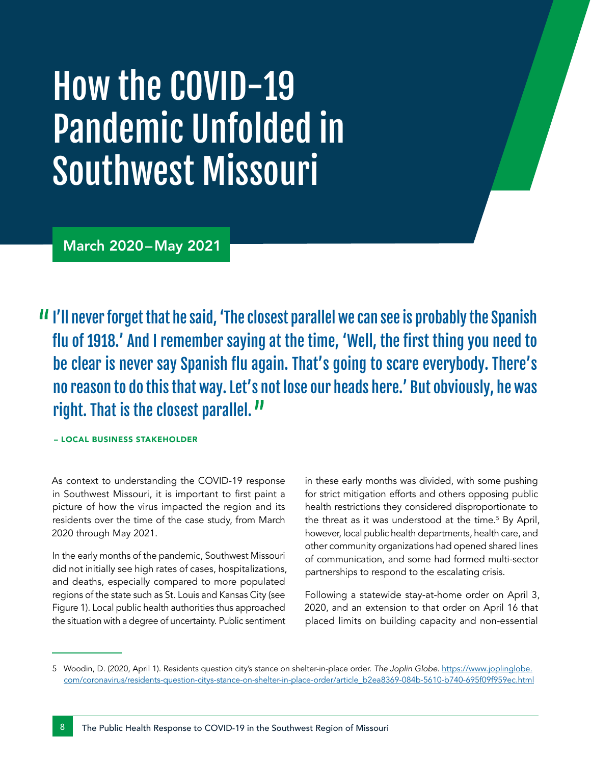# How the COVID-19 Pandemic Unfolded in Southwest Missouri

March 2020–May 2021

I'll never forget that he said, 'The closest parallel we can see is probably the Spanish flu of 1918.' And I remember saying at the time, 'Well, the first thing you need to be clear is never say Spanish flu again. That's going to scare everybody. There's no reason to do this that way. Let's not lose our heads here.' But obviously, he was right. That is the closest parallel.<sup>11</sup>

– LOCAL BUSINESS STAKEHOLDER

As context to understanding the COVID-19 response in Southwest Missouri, it is important to first paint a picture of how the virus impacted the region and its residents over the time of the case study, from March 2020 through May 2021.

In the early months of the pandemic, Southwest Missouri did not initially see high rates of cases, hospitalizations, and deaths, especially compared to more populated regions of the state such as St. Louis and Kansas City (see Figure 1). Local public health authorities thus approached the situation with a degree of uncertainty. Public sentiment

in these early months was divided, with some pushing for strict mitigation efforts and others opposing public health restrictions they considered disproportionate to the threat as it was understood at the time.<sup>5</sup> By April, however, local public health departments, health care, and other community organizations had opened shared lines of communication, and some had formed multi-sector partnerships to respond to the escalating crisis.

Following a statewide stay-at-home order on April 3, 2020, and an extension to that order on April 16 that placed limits on building capacity and non-essential

<sup>5</sup> Woodin, D. (2020, April 1). Residents question city's stance on shelter-in-place order. *The Joplin Globe*. [https://www.joplinglobe.](https://www.joplinglobe.com/coronavirus/residents-question-citys-stance-on-shelter-in-place-order/article_b2ea8369-084b-5610-b740-695f09f959ec.html) [com/coronavirus/residents-question-citys-stance-on-shelter-in-place-order/article\\_b2ea8369-084b-5610-b740-695f09f959ec.html](https://www.joplinglobe.com/coronavirus/residents-question-citys-stance-on-shelter-in-place-order/article_b2ea8369-084b-5610-b740-695f09f959ec.html)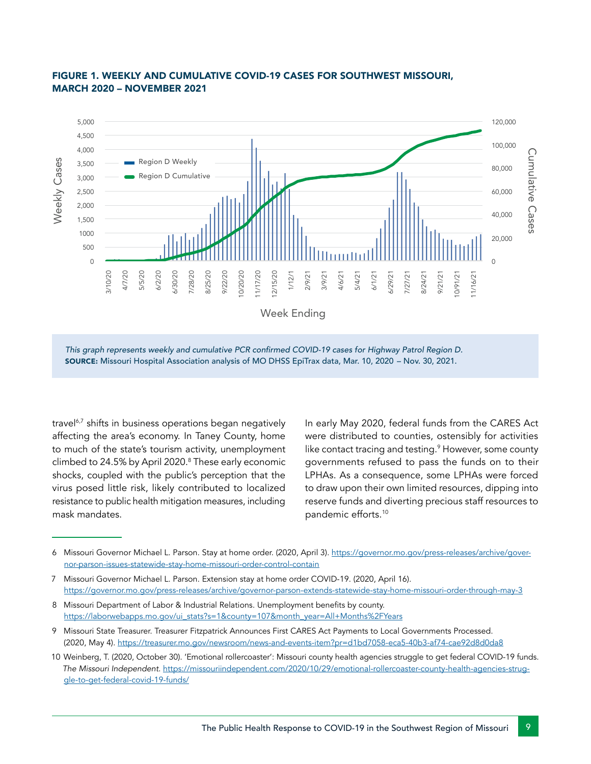

#### FIGURE 1. WEEKLY AND CUMULATIVE COVID-19 CASES FOR SOUTHWEST MISSOURI, MARCH 2020 – NOVEMBER 2021 **Cases: MSHP Troop DePA Confirmed Covid-19 Cases: MSHP Troop DePA Covid-19 Cases: MSHP Troop DePA Covid-19 Cases: MSHP Troop DePA Covid-19 Cases: MSHP Troop DePA Covid-19 Cases: MSHP Troop DePA C**

This graph represents weekly and cumulative PCR confirmed COVID-19 cases for Highway Patrol Region D. SOURCE: Missouri Hospital Association analysis of MO DHSS EpiTrax data, Mar. 10, 2020 – Nov. 30, 2021.

travel<sup>6,7</sup> shifts in business operations began negatively affecting the area's economy. In Taney County, home to much of the state's tourism activity, unemployment climbed to 24.5% by April 2020.8 These early economic shocks, coupled with the public's perception that the virus posed little risk, likely contributed to localized resistance to public health mitigation measures, including mask mandates.

In early May 2020, federal funds from the CARES Act were distributed to counties, ostensibly for activities like contact tracing and testing.<sup>9</sup> However, some county governments refused to pass the funds on to their LPHAs. As a consequence, some LPHAs were forced to draw upon their own limited resources, dipping into reserve funds and diverting precious staff resources to pandemic efforts.10

<sup>6</sup> Missouri Governor Michael L. Parson. Stay at home order. (2020, April 3)[.]( https://governor.mo.gov/priorities/stay-home-order) [https://governor.mo.gov/press-releases/archive/gover](https://governor.mo.gov/press-releases/archive/governor-parson-issues-statewide-stay-home-missouri-order-control-contain)[nor-parson-issues-statewide-stay-home-missouri-order-control-contain](https://governor.mo.gov/press-releases/archive/governor-parson-issues-statewide-stay-home-missouri-order-control-contain)

<sup>7</sup> Missouri Governor Michael L. Parson. Extension stay at home order COVID-19. (2020, April 16). <https://governor.mo.gov/press-releases/archive/governor-parson-extends-statewide-stay-home-missouri-order-through-may-3>

<sup>8</sup> Missouri Department of Labor & Industrial Relations. Unemployment benefits by county. [https://laborwebapps.mo.gov/ui\\_stats?s=1&county=107&month\\_year=All+Months%2FYears](https://laborwebapps.mo.gov/ui_stats?s=1&county=107&month_year=All+Months%2FYears)

<sup>9</sup> Missouri State Treasurer. Treasurer Fitzpatrick Announces First CARES Act Payments to Local Governments Processed. (2020, May 4).<https://treasurer.mo.gov/newsroom/news-and-events-item?pr=d1bd7058-eca5-40b3-af74-cae92d8d0da8>

<sup>10</sup> Weinberg, T. (2020, October 30). 'Emotional rollercoaster': Missouri county health agencies struggle to get federal COVID-19 funds. *The Missouri Independent*. [https://missouriindependent.com/2020/10/29/emotional-rollercoaster-county-health-agencies-strug](https://missouriindependent.com/2020/10/29/emotional-rollercoaster-county-health-agencies-struggle-to-get-federal-covid-19-funds/ )[gle-to-get-federal-covid-19-funds/](https://missouriindependent.com/2020/10/29/emotional-rollercoaster-county-health-agencies-struggle-to-get-federal-covid-19-funds/ )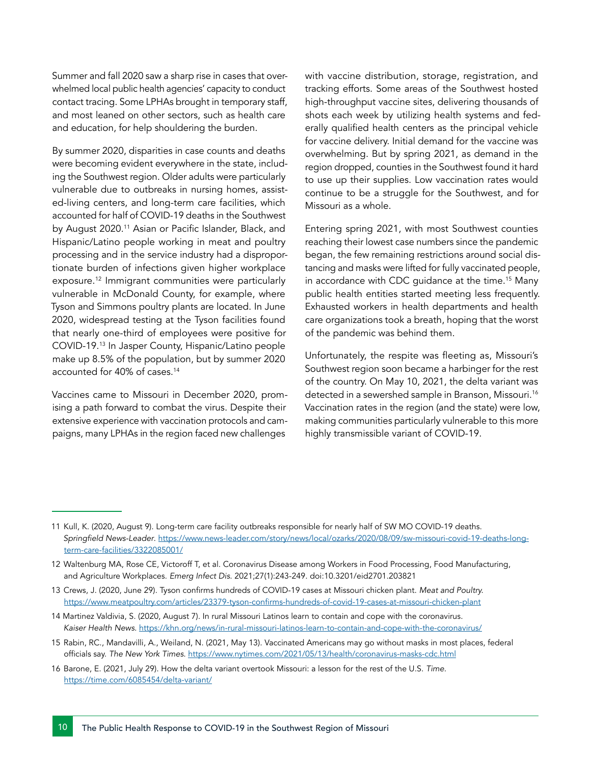Summer and fall 2020 saw a sharp rise in cases that overwhelmed local public health agencies' capacity to conduct contact tracing. Some LPHAs brought in temporary staff, and most leaned on other sectors, such as health care and education, for help shouldering the burden.

By summer 2020, disparities in case counts and deaths were becoming evident everywhere in the state, including the Southwest region. Older adults were particularly vulnerable due to outbreaks in nursing homes, assisted-living centers, and long-term care facilities, which accounted for half of COVID-19 deaths in the Southwest by August 2020.<sup>11</sup> Asian or Pacific Islander, Black, and Hispanic/Latino people working in meat and poultry processing and in the service industry had a disproportionate burden of infections given higher workplace exposure.12 Immigrant communities were particularly vulnerable in McDonald County, for example, where Tyson and Simmons poultry plants are located. In June 2020, widespread testing at the Tyson facilities found that nearly one-third of employees were positive for COVID-19.13 In Jasper County, Hispanic/Latino people make up 8.5% of the population, but by summer 2020 accounted for 40% of cases.14

Vaccines came to Missouri in December 2020, promising a path forward to combat the virus. Despite their extensive experience with vaccination protocols and campaigns, many LPHAs in the region faced new challenges

with vaccine distribution, storage, registration, and tracking efforts. Some areas of the Southwest hosted high-throughput vaccine sites, delivering thousands of shots each week by utilizing health systems and federally qualified health centers as the principal vehicle for vaccine delivery. Initial demand for the vaccine was overwhelming. But by spring 2021, as demand in the region dropped, counties in the Southwest found it hard to use up their supplies. Low vaccination rates would continue to be a struggle for the Southwest, and for Missouri as a whole.

Entering spring 2021, with most Southwest counties reaching their lowest case numbers since the pandemic began, the few remaining restrictions around social distancing and masks were lifted for fully vaccinated people, in accordance with CDC guidance at the time.<sup>15</sup> Many public health entities started meeting less frequently. Exhausted workers in health departments and health care organizations took a breath, hoping that the worst of the pandemic was behind them.

Unfortunately, the respite was fleeting as, Missouri's Southwest region soon became a harbinger for the rest of the country. On May 10, 2021, the delta variant was detected in a sewershed sample in Branson, Missouri.<sup>16</sup> Vaccination rates in the region (and the state) were low, making communities particularly vulnerable to this more highly transmissible variant of COVID-19.

<sup>11</sup> Kull, K. (2020, August 9). Long-term care facility outbreaks responsible for nearly half of SW MO COVID-19 deaths. Springfield News-Leader. [https://www.news-leader.com/story/news/local/ozarks/2020/08/09/sw-missouri-covid-19-deaths-long](https://www.news-leader.com/story/news/local/ozarks/2020/08/09/sw-missouri-covid-19-deaths-long-term-care-facilities/3322085001/)[term-care-facilities/3322085001/](https://www.news-leader.com/story/news/local/ozarks/2020/08/09/sw-missouri-covid-19-deaths-long-term-care-facilities/3322085001/) 

<sup>12</sup> Waltenburg MA, Rose CE, Victoroff T, et al. Coronavirus Disease among Workers in Food Processing, Food Manufacturing, and Agriculture Workplaces. *Emerg Infect Dis*. 2021;27(1):243-249. doi:10.3201/eid2701.203821

<sup>13</sup> Crews, J. (2020, June 29). Tyson confirms hundreds of COVID-19 cases at Missouri chicken plant. *Meat and Poultry.* [https://www.meatpoultry.com/articles/23379-tyson-confirms-hundreds-of-covid-19-cases-at-missouri-chicken-plant]( https://www.meatpoultry.com/articles/23379-tyson-confirms-hundreds-of-covid-19-cases-at-missouri-chicken-plant)

<sup>14</sup> Martinez Valdivia, S. (2020, August 7). In rural Missouri Latinos learn to contain and cope with the coronavirus. *Kaiser Health News*. [https://khn.org/news/in-rural-missouri-latinos-learn-to-contain-and-cope-with-the-coronavirus/](https://khn.org/news/in-rural-missouri-latinos-learn-to-contain-and-cope-with-the-coronavirus/ )

<sup>15</sup> Rabin, RC., Mandavilli, A., Weiland, N. (2021, May 13). Vaccinated Americans may go without masks in most places, federal officials say. *The New York Times*.<https://www.nytimes.com/2021/05/13/health/coronavirus-masks-cdc.html>

<sup>16</sup> Barone, E. (2021, July 29). How the delta variant overtook Missouri: a lesson for the rest of the U.S. *Time*. <https://time.com/6085454/delta-variant/>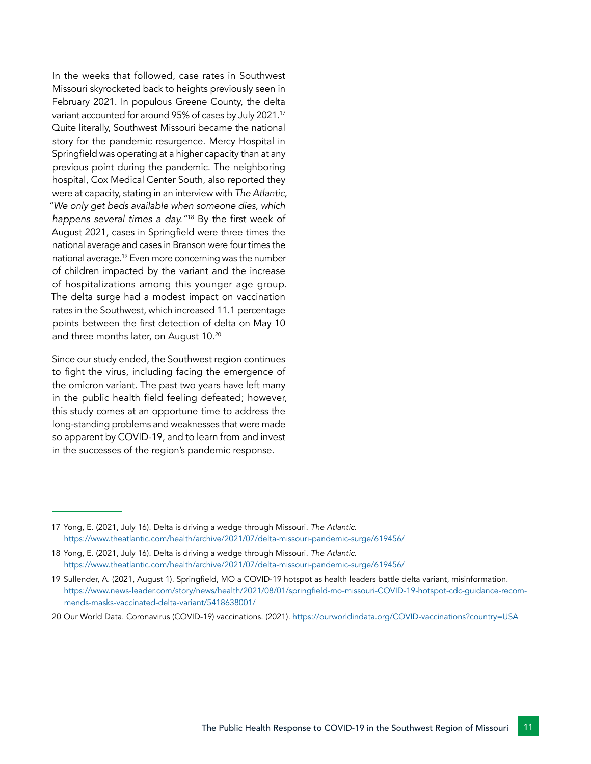In the weeks that followed, case rates in Southwest Missouri skyrocketed back to heights previously seen in February 2021. In populous Greene County, the delta variant accounted for around 95% of cases by July 2021.17 Quite literally, Southwest Missouri became the national story for the pandemic resurgence. Mercy Hospital in Springfield was operating at a higher capacity than at any previous point during the pandemic. The neighboring hospital, Cox Medical Center South, also reported they were at capacity, stating in an interview with *The Atlantic, "We only get beds available when someone dies, which happens several times a day."*<sup>18</sup> By the first week of August 2021, cases in Springfield were three times the national average and cases in Branson were four times the national average.19 Even more concerning was the number of children impacted by the variant and the increase of hospitalizations among this younger age group. The delta surge had a modest impact on vaccination rates in the Southwest, which increased 11.1 percentage points between the first detection of delta on May 10 and three months later, on August 10.20

Since our study ended, the Southwest region continues to fight the virus, including facing the emergence of the omicron variant. The past two years have left many in the public health field feeling defeated; however, this study comes at an opportune time to address the long-standing problems and weaknesses that were made so apparent by COVID-19, and to learn from and invest in the successes of the region's pandemic response.

<sup>17</sup> Yong, E. (2021, July 16). Delta is driving a wedge through Missouri. *The Atlantic.* <https://www.theatlantic.com/health/archive/2021/07/delta-missouri-pandemic-surge/619456/>

<sup>18</sup> Yong, E. (2021, July 16). Delta is driving a wedge through Missouri. *The Atlantic*. <https://www.theatlantic.com/health/archive/2021/07/delta-missouri-pandemic-surge/619456/>

<sup>19</sup> Sullender, A. (2021, August 1). Springfield, MO a COVID-19 hotspot as health leaders battle delta variant, misinformation. [https://www.news-leader.com/story/news/health/2021/08/01/springfield-mo-missouri-COVID-19-hotspot-cdc-guidance-recom](https://www.news-leader.com/story/news/health/2021/08/01/springfield-mo-missouri-COVID-19-hotspot-cdc-guidance-recommends-masks-vaccinated-delta-variant/5418638001/)[mends-masks-vaccinated-delta-variant/5418638001/](https://www.news-leader.com/story/news/health/2021/08/01/springfield-mo-missouri-COVID-19-hotspot-cdc-guidance-recommends-masks-vaccinated-delta-variant/5418638001/)

<sup>20</sup> Our World Data. Coronavirus (COVID-19) vaccinations. (2021). [https://ourworldindata.org/COVID-vaccinations?country=USA](https://ourworldindata.org/COVID-vaccinations?country=USA  )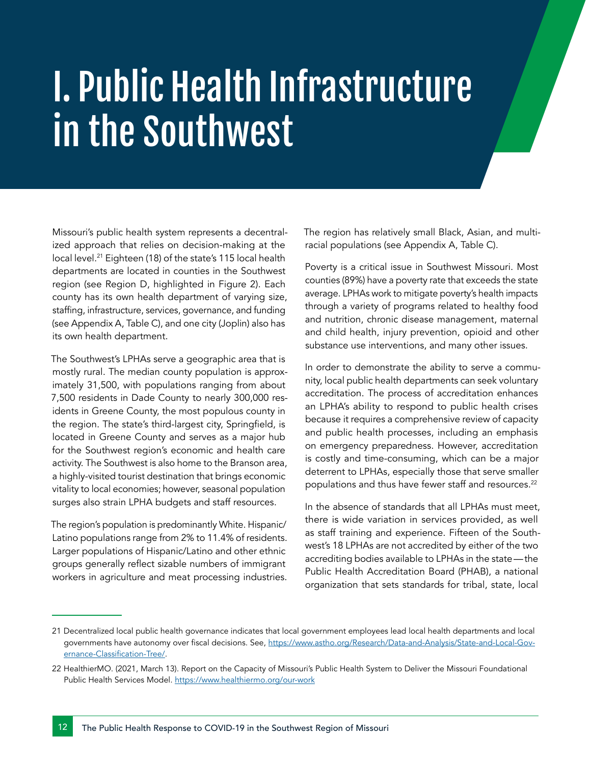# I. Public Health Infrastructure in the Southwest

Missouri's public health system represents a decentralized approach that relies on decision-making at the local level.<sup>21</sup> Eighteen (18) of the state's 115 local health departments are located in counties in the Southwest region (see Region D, highlighted in Figure 2). Each county has its own health department of varying size, staffing, infrastructure, services, governance, and funding (see Appendix A, Table C), and one city (Joplin) also has its own health department.

The Southwest's LPHAs serve a geographic area that is mostly rural. The median county population is approximately 31,500, with populations ranging from about 7,500 residents in Dade County to nearly 300,000 residents in Greene County, the most populous county in the region. The state's third-largest city, Springfield, is located in Greene County and serves as a major hub for the Southwest region's economic and health care activity. The Southwest is also home to the Branson area, a highly-visited tourist destination that brings economic vitality to local economies; however, seasonal population surges also strain LPHA budgets and staff resources.

The region's population is predominantly White. Hispanic/ Latino populations range from 2% to 11.4% of residents. Larger populations of Hispanic/Latino and other ethnic groups generally reflect sizable numbers of immigrant workers in agriculture and meat processing industries.

The region has relatively small Black, Asian, and multiracial populations (see Appendix A, Table C).

Poverty is a critical issue in Southwest Missouri. Most counties (89%) have a poverty rate that exceeds the state average. LPHAs work to mitigate poverty's health impacts through a variety of programs related to healthy food and nutrition, chronic disease management, maternal and child health, injury prevention, opioid and other substance use interventions, and many other issues.

In order to demonstrate the ability to serve a community, local public health departments can seek voluntary accreditation. The process of accreditation enhances an LPHA's ability to respond to public health crises because it requires a comprehensive review of capacity and public health processes, including an emphasis on emergency preparedness. However, accreditation is costly and time-consuming, which can be a major deterrent to LPHAs, especially those that serve smaller populations and thus have fewer staff and resources.<sup>22</sup>

In the absence of standards that all LPHAs must meet, there is wide variation in services provided, as well as staff training and experience. Fifteen of the Southwest's 18 LPHAs are not accredited by either of the two accrediting bodies available to LPHAs in the state—the Public Health Accreditation Board (PHAB), a national organization that sets standards for tribal, state, local

<sup>21</sup> Decentralized local public health governance indicates that local government employees lead local health departments and local governments have autonomy over fiscal decisions. See, [https://www.astho.org/Research/Data-and-Analysis/State-and-Local-Gov]( https://www.astho.org/Research/Data-and-Analysis/State-and-Local-Governance-Classification-Tree/)[ernance-Classification-Tree/]( https://www.astho.org/Research/Data-and-Analysis/State-and-Local-Governance-Classification-Tree/).

<sup>22</sup> HealthierMO. (2021, March 13). Report on the Capacity of Missouri's Public Health System to Deliver the Missouri Foundational Public Health Services Model.<https://www.healthiermo.org/our-work>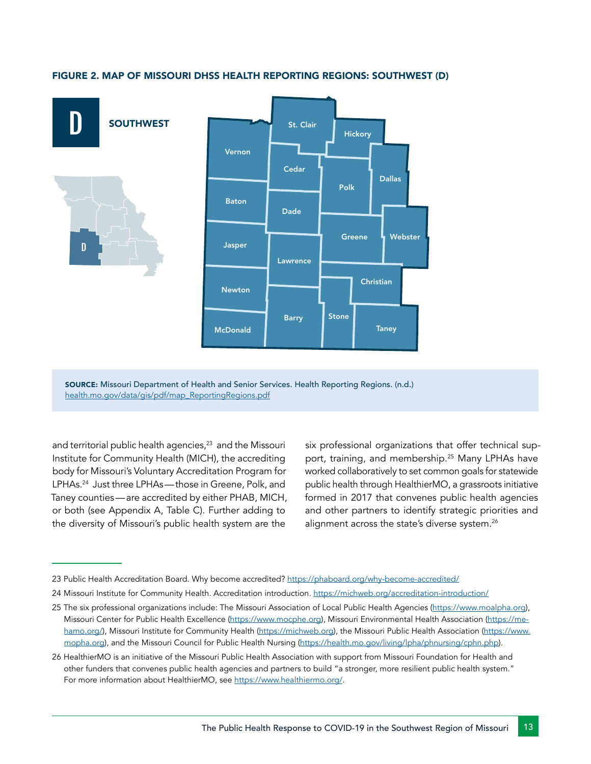

#### FIGURE 2. MAP OF MISSOURI DHSS HEALTH REPORTING REGIONS: SOUTHWEST (D)

SOURCE: Missouri Department of Health and Senior Services. Health Reporting Regions. (n.d.) [health.mo.gov/data/gis/pdf/map\\_ReportingRegions.pdf](https://health.mo.gov/data/gis/pdf/map_ReportingRegions.pdf)

and territorial public health agencies,<sup>23</sup> and the Missouri Institute for Community Health (MICH), the accrediting body for Missouri's Voluntary Accreditation Program for LPHAs.<sup>24</sup> Just three LPHAs—those in Greene, Polk, and Taney counties—are accredited by either PHAB, MICH, or both (see Appendix A, Table C). Further adding to the diversity of Missouri's public health system are the

six professional organizations that offer technical support, training, and membership.<sup>25</sup> Many LPHAs have worked collaboratively to set common goals for statewide public health through HealthierMO, a grassroots initiative formed in 2017 that convenes public health agencies and other partners to identify strategic priorities and alignment across the state's diverse system.<sup>26</sup>

<sup>23</sup> Public Health Accreditation Board. Why become accredited? [https://phaboard.org/why-become-accredited/](https://phaboard.org/why-become-accredited/ )

<sup>24</sup> Missouri Institute for Community Health. Accreditation introduction. <https://michweb.org/accreditation-introduction/>

<sup>25</sup> The six professional organizations include: The Missouri Association of Local Public Health Agencies [\(https://www.moalpha.org\)](https://www.moalpha.org), Missouri Center for Public Health Excellence (<https://www.mocphe.org>), Missouri Environmental Health Association ([https://me](https://mehamo.org/ )[hamo.org/](https://mehamo.org/ )), Missouri Institute for Community Health [\(https://michweb.org\)](https://michweb.org), the Missouri Public Health Association [\(https://www.](https://www.mopha.org) [mopha.org](https://www.mopha.org)), and the Missouri Council for Public Health Nursing [\(https://health.mo.gov/living/lpha/phnursing/cphn.php\)](https://health.mo.gov/living/lpha/phnursing/cphn.php).

<sup>26</sup> HealthierMO is an initiative of the Missouri Public Health Association with support from Missouri Foundation for Health and other funders that convenes public health agencies and partners to build "a stronger, more resilient public health system." For more information about HealthierMO, see [https://www.healthiermo.org/.]( https://www.healthiermo.org/)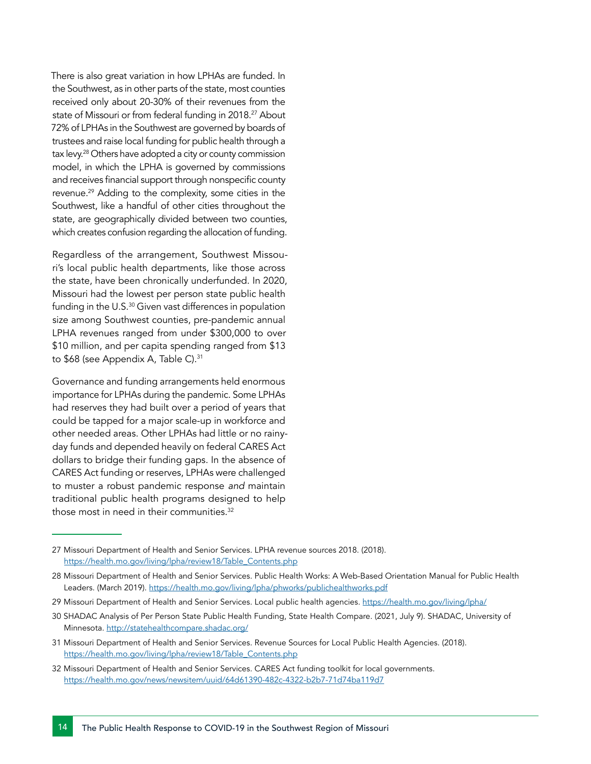There is also great variation in how LPHAs are funded. In the Southwest, as in other parts of the state, most counties received only about 20-30% of their revenues from the state of Missouri or from federal funding in 2018.<sup>27</sup> About 72% of LPHAs in the Southwest are governed by boards of trustees and raise local funding for public health through a tax levy.<sup>28</sup> Others have adopted a city or county commission model, in which the LPHA is governed by commissions and receives financial support through nonspecific county revenue.29 Adding to the complexity, some cities in the Southwest, like a handful of other cities throughout the state, are geographically divided between two counties, which creates confusion regarding the allocation of funding.

Regardless of the arrangement, Southwest Missouri's local public health departments, like those across the state, have been chronically underfunded. In 2020, Missouri had the lowest per person state public health funding in the U.S.<sup>30</sup> Given vast differences in population size among Southwest counties, pre-pandemic annual LPHA revenues ranged from under \$300,000 to over \$10 million, and per capita spending ranged from \$13 to \$68 (see Appendix A, Table C).<sup>31</sup>

Governance and funding arrangements held enormous importance for LPHAs during the pandemic. Some LPHAs had reserves they had built over a period of years that could be tapped for a major scale-up in workforce and other needed areas. Other LPHAs had little or no rainyday funds and depended heavily on federal CARES Act dollars to bridge their funding gaps. In the absence of CARES Act funding or reserves, LPHAs were challenged to muster a robust pandemic response *and* maintain traditional public health programs designed to help those most in need in their communities.<sup>32</sup>

<sup>27</sup> Missouri Department of Health and Senior Services. LPHA revenue sources 2018. (2018). [https://health.mo.gov/living/lpha/review18/Table\\_Contents.php](https://health.mo.gov/living/lpha/review18/Table_Contents.php)

<sup>28</sup> Missouri Department of Health and Senior Services. Public Health Works: A Web-Based Orientation Manual for Public Health Leaders. (March 2019). [https://health.mo.gov/living/lpha/phworks/publichealthworks.pdf](https://health.mo.gov/living/lpha/phworks/publichealthworks.pdf )

<sup>29</sup> Missouri Department of Health and Senior Services. Local public health agencies. <https://health.mo.gov/living/lpha/>

<sup>30</sup> SHADAC Analysis of Per Person State Public Health Funding, State Health Compare. (2021, July 9). SHADAC, University of Minnesota. [http://statehealthcompare.shadac.org/]( http://statehealthcompare.shadac.org/.)

<sup>31</sup> Missouri Department of Health and Senior Services. Revenue Sources for Local Public Health Agencies. (2018). [https://health.mo.gov/living/lpha/review18/Table\\_Contents.php](https://health.mo.gov/living/lpha/review18/Table_Contents.php)

<sup>32</sup> Missouri Department of Health and Senior Services. CARES Act funding toolkit for local governments. <https://health.mo.gov/news/newsitem/uuid/64d61390-482c-4322-b2b7-71d74ba119d7>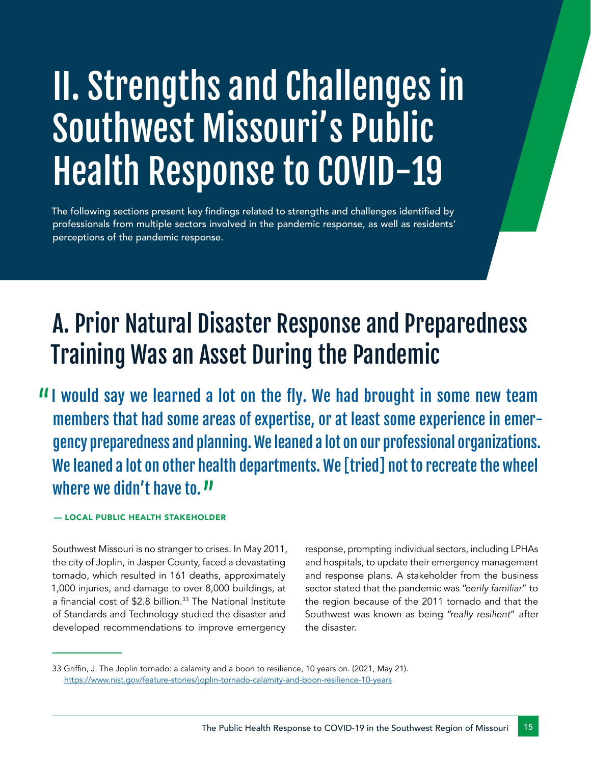# II. Strengths and Challenges in Southwest Missouri's Public Health Response to COVID-19

The following sections present key findings related to strengths and challenges identified by professionals from multiple sectors involved in the pandemic response, as well as residents' perceptions of the pandemic response.

# A. Prior Natural Disaster Response and Preparedness Training Was an Asset During the Pandemic

II would say we learned a lot on the fly. We had brought in some new team members that had some areas of expertise, or at least some experience in emergency preparedness and planning. We leaned a lot on our professional organizations. We leaned a lot on other health departments. We [tried] not to recreate the wheel where we didn't have to.  $\Pi$ 

#### — LOCAL PUBLIC HEALTH STAKEHOLDER

Southwest Missouri is no stranger to crises. In May 2011, the city of Joplin, in Jasper County, faced a devastating tornado, which resulted in 161 deaths, approximately 1,000 injuries, and damage to over 8,000 buildings, at a financial cost of \$2.8 billion.<sup>33</sup> The National Institute of Standards and Technology studied the disaster and developed recommendations to improve emergency

response, prompting individual sectors, including LPHAs and hospitals, to update their emergency management and response plans. A stakeholder from the business sector stated that the pandemic was "*eerily familiar*" to the region because of the 2011 tornado and that the Southwest was known as being "*really resilient*" after the disaster.

<sup>33</sup> Griffin, J. The Joplin tornado: a calamity and a boon to resilience, 10 years on. (2021, May 21). <https://www.nist.gov/feature-stories/joplin-tornado-calamity-and-boon-resilience-10-years>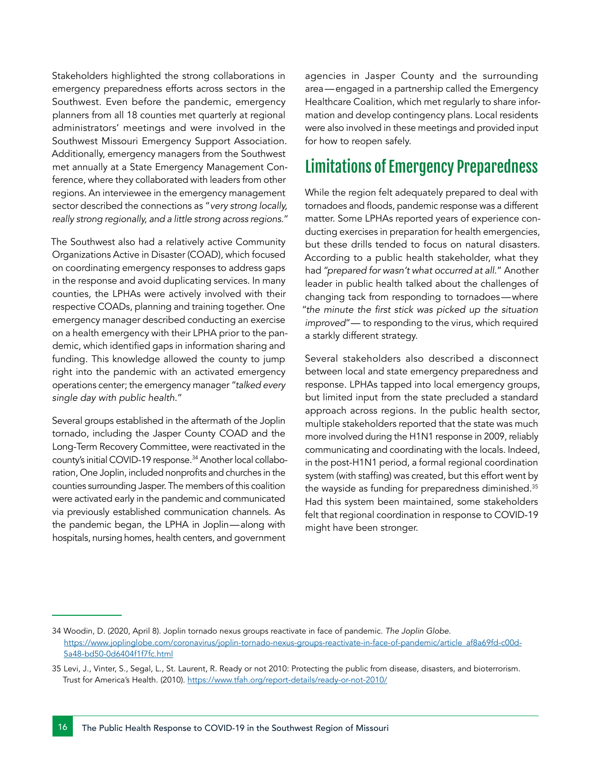Stakeholders highlighted the strong collaborations in emergency preparedness efforts across sectors in the Southwest. Even before the pandemic, emergency planners from all 18 counties met quarterly at regional administrators' meetings and were involved in the Southwest Missouri Emergency Support Association. Additionally, emergency managers from the Southwest met annually at a State Emergency Management Conference, where they collaborated with leaders from other regions. An interviewee in the emergency management sector described the connections as "*very strong locally, really strong regionally, and a little strong across regions.*"

The Southwest also had a relatively active Community Organizations Active in Disaster (COAD), which focused on coordinating emergency responses to address gaps in the response and avoid duplicating services. In many counties, the LPHAs were actively involved with their respective COADs, planning and training together. One emergency manager described conducting an exercise on a health emergency with their LPHA prior to the pandemic, which identified gaps in information sharing and funding. This knowledge allowed the county to jump right into the pandemic with an activated emergency operations center; the emergency manager "*talked every single day with public health*."

Several groups established in the aftermath of the Joplin tornado, including the Jasper County COAD and the Long-Term Recovery Committee, were reactivated in the county's initial COVID-19 response.34 Another local collaboration, One Joplin, included nonprofits and churches in the counties surrounding Jasper. The members of this coalition were activated early in the pandemic and communicated via previously established communication channels. As the pandemic began, the LPHA in Joplin—along with hospitals, nursing homes, health centers, and government

agencies in Jasper County and the surrounding area—engaged in a partnership called the Emergency Healthcare Coalition, which met regularly to share information and develop contingency plans. Local residents were also involved in these meetings and provided input for how to reopen safely.

## Limitations of Emergency Preparedness

While the region felt adequately prepared to deal with tornadoes and floods, pandemic response was a different matter. Some LPHAs reported years of experience conducting exercises in preparation for health emergencies, but these drills tended to focus on natural disasters. According to a public health stakeholder, what they had "*prepared for wasn't what occurred at all*." Another leader in public health talked about the challenges of changing tack from responding to tornadoes—where "the minute the first stick was picked up the situation *improved*"—  to responding to the virus, which required a starkly different strategy.

Several stakeholders also described a disconnect between local and state emergency preparedness and response. LPHAs tapped into local emergency groups, but limited input from the state precluded a standard approach across regions. In the public health sector, multiple stakeholders reported that the state was much more involved during the H1N1 response in 2009, reliably communicating and coordinating with the locals. Indeed, in the post-H1N1 period, a formal regional coordination system (with staffing) was created, but this effort went by the wayside as funding for preparedness diminished.35 Had this system been maintained, some stakeholders felt that regional coordination in response to COVID-19 might have been stronger.

<sup>34</sup> Woodin, D. (2020, April 8). Joplin tornado nexus groups reactivate in face of pandemic. *The Joplin Globe*. [https://www.joplinglobe.com/coronavirus/joplin-tornado-nexus-groups-reactivate-in-face-of-pandemic/article\\_af8a69fd-c00d-](https://www.joplinglobe.com/coronavirus/joplin-tornado-nexus-groups-reactivate-in-face-of-pandemic/article_af8a69fd-c00d-5a48-bd50-0d6404f1f7fc.html l)[5a48-bd50-0d6404f1f7fc.html](https://www.joplinglobe.com/coronavirus/joplin-tornado-nexus-groups-reactivate-in-face-of-pandemic/article_af8a69fd-c00d-5a48-bd50-0d6404f1f7fc.html l)

<sup>35</sup> Levi, J., Vinter, S., Segal, L., St. Laurent, R. Ready or not 2010: Protecting the public from disease, disasters, and bioterrorism. Trust for America's Health. (2010).<https://www.tfah.org/report-details/ready-or-not-2010/>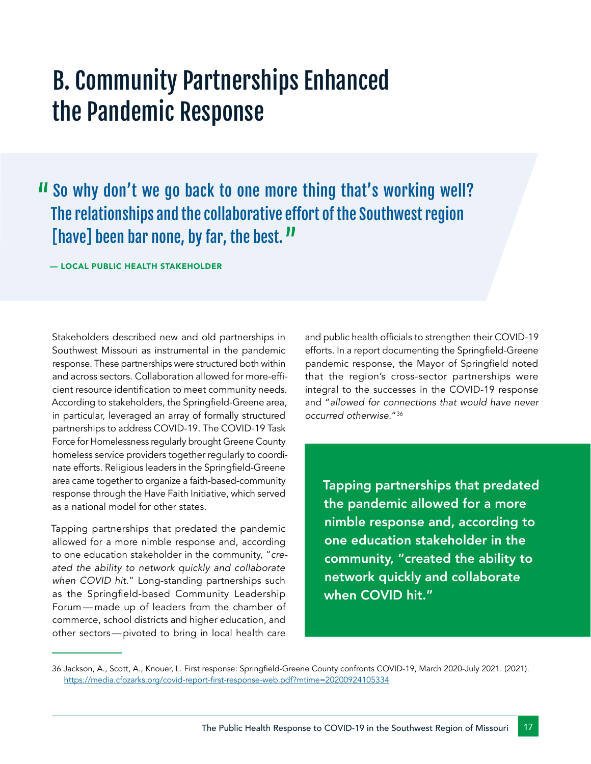## B. Community Partnerships Enhanced the Pandemic Response

So why don't we go back to one more thing that's working well? The relationships and the collaborative effort of the Southwest region [have] been bar none, by far, the best."

— LOCAL PUBLIC HEALTH STAKEHOLDER

Stakeholders described new and old partnerships in Southwest Missouri as instrumental in the pandemic response. These partnerships were structured both within and across sectors. Collaboration allowed for more-efficient resource identification to meet community needs. According to stakeholders, the Springfield-Greene area, in particular, leveraged an array of formally structured partnerships to address COVID-19. The COVID-19 Task Force for Homelessness regularly brought Greene County homeless service providers together regularly to coordinate efforts. Religious leaders in the Springfield-Greene area came together to organize a faith-based-community response through the Have Faith Initiative, which served as a national model for other states.

Tapping partnerships that predated the pandemic allowed for a more nimble response and, according to one education stakeholder in the community, "*created the ability to network quickly and collaborate when COVID hit.*" Long-standing partnerships such as the Springfield-based Community Leadership Forum—made up of leaders from the chamber of commerce, school districts and higher education, and other sectors—pivoted to bring in local health care

and public health officials to strengthen their COVID-19 efforts. In a report documenting the Springfield-Greene pandemic response, the Mayor of Springfield noted that the region's cross-sector partnerships were integral to the successes in the COVID-19 response and "*allowed for connections that would have never occurred otherwise*."<sup>36</sup>

Tapping partnerships that predated the pandemic allowed for a more nimble response and, according to one education stakeholder in the community, "created the ability to network quickly and collaborate when COVID hit."

<sup>36</sup> Jackson, A., Scott, A., Knouer, L. First response: Springfield-Greene County confronts COVID-19, March 2020-July 2021. (2021). [https://media.cfozarks.org/covid-report-first-response-web.pdf?mtime=20200924105334](https://media.cfozarks.org/covid-report-first-response-web.pdf?mtime=20200924105334 )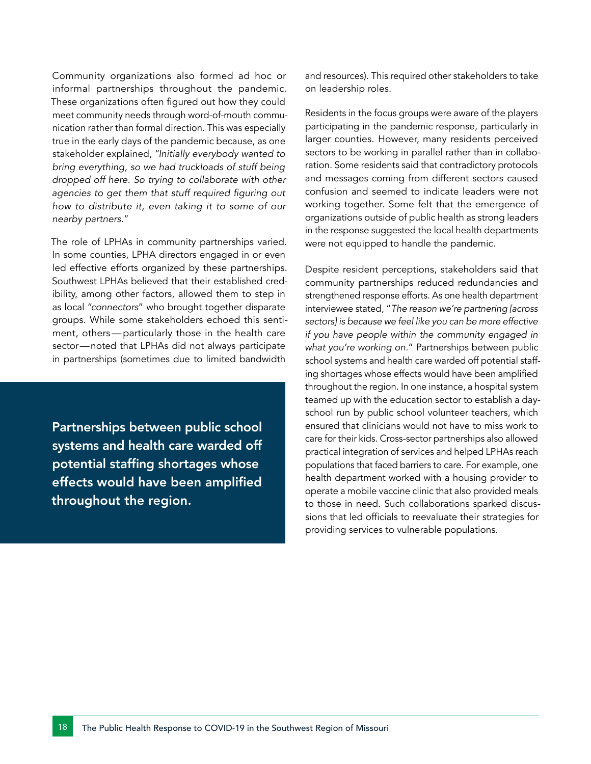Community organizations also formed ad hoc or informal partnerships throughout the pandemic. These organizations often figured out how they could meet community needs through word-of-mouth communication rather than formal direction. This was especially true in the early days of the pandemic because, as one stakeholder explained, "*Initially everybody wanted to bring everything, so we had truckloads of stuff being dropped off here. So trying to collaborate with other*  agencies to get them that stuff required figuring out *how to distribute it, even taking it to some of our nearby partners*."

The role of LPHAs in community partnerships varied. In some counties, LPHA directors engaged in or even led effective efforts organized by these partnerships. Southwest LPHAs believed that their established credibility, among other factors, allowed them to step in as local "*connectors*" who brought together disparate groups. While some stakeholders echoed this sentiment, others—particularly those in the health care sector—noted that LPHAs did not always participate in partnerships (sometimes due to limited bandwidth

Partnerships between public school systems and health care warded off potential staffing shortages whose effects would have been amplified throughout the region.

and resources). This required other stakeholders to take on leadership roles.

Residents in the focus groups were aware of the players participating in the pandemic response, particularly in larger counties. However, many residents perceived sectors to be working in parallel rather than in collaboration. Some residents said that contradictory protocols and messages coming from different sectors caused confusion and seemed to indicate leaders were not working together. Some felt that the emergence of organizations outside of public health as strong leaders in the response suggested the local health departments were not equipped to handle the pandemic.

Despite resident perceptions, stakeholders said that community partnerships reduced redundancies and strengthened response efforts. As one health department interviewee stated, "*The reason we're partnering [across sectors] is because we feel like you can be more effective if you have people within the community engaged in what you're working on.*" Partnerships between public school systems and health care warded off potential staffing shortages whose effects would have been amplified throughout the region. In one instance, a hospital system teamed up with the education sector to establish a dayschool run by public school volunteer teachers, which ensured that clinicians would not have to miss work to care for their kids. Cross-sector partnerships also allowed practical integration of services and helped LPHAs reach populations that faced barriers to care. For example, one health department worked with a housing provider to operate a mobile vaccine clinic that also provided meals to those in need. Such collaborations sparked discussions that led officials to reevaluate their strategies for providing services to vulnerable populations.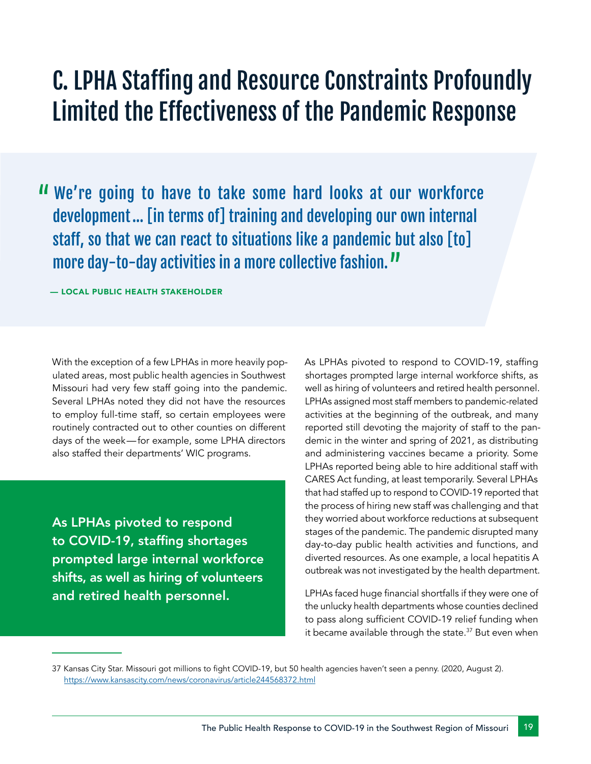## C. LPHA Staffing and Resource Constraints Profoundly Limited the Effectiveness of the Pandemic Response

We're going to have to take some hard looks at our workforce development… [in terms of] training and developing our own internal staff, so that we can react to situations like a pandemic but also [to] more day-to-day activities in a more collective fashion."

— LOCAL PUBLIC HEALTH STAKEHOLDER

With the exception of a few LPHAs in more heavily populated areas, most public health agencies in Southwest Missouri had very few staff going into the pandemic. Several LPHAs noted they did not have the resources to employ full-time staff, so certain employees were routinely contracted out to other counties on different days of the week—for example, some LPHA directors also staffed their departments' WIC programs.

As LPHAs pivoted to respond to COVID-19, staffing shortages prompted large internal workforce shifts, as well as hiring of volunteers and retired health personnel.

As LPHAs pivoted to respond to COVID-19, staffing shortages prompted large internal workforce shifts, as well as hiring of volunteers and retired health personnel. LPHAs assigned most staff members to pandemic-related activities at the beginning of the outbreak, and many reported still devoting the majority of staff to the pandemic in the winter and spring of 2021, as distributing and administering vaccines became a priority. Some LPHAs reported being able to hire additional staff with CARES Act funding, at least temporarily. Several LPHAs that had staffed up to respond to COVID-19 reported that the process of hiring new staff was challenging and that they worried about workforce reductions at subsequent stages of the pandemic. The pandemic disrupted many day-to-day public health activities and functions, and diverted resources. As one example, a local hepatitis A outbreak was not investigated by the health department.

LPHAs faced huge financial shortfalls if they were one of the unlucky health departments whose counties declined to pass along sufficient COVID-19 relief funding when it became available through the state.<sup>37</sup> But even when

<sup>37</sup> Kansas City Star. Missouri got millions to fight COVID-19, but 50 health agencies haven't seen a penny. (2020, August 2). [https://www.kansascity.com/news/coronavirus/article244568372.html]( https://www.kansascity.com/news/coronavirus/article244568372.html)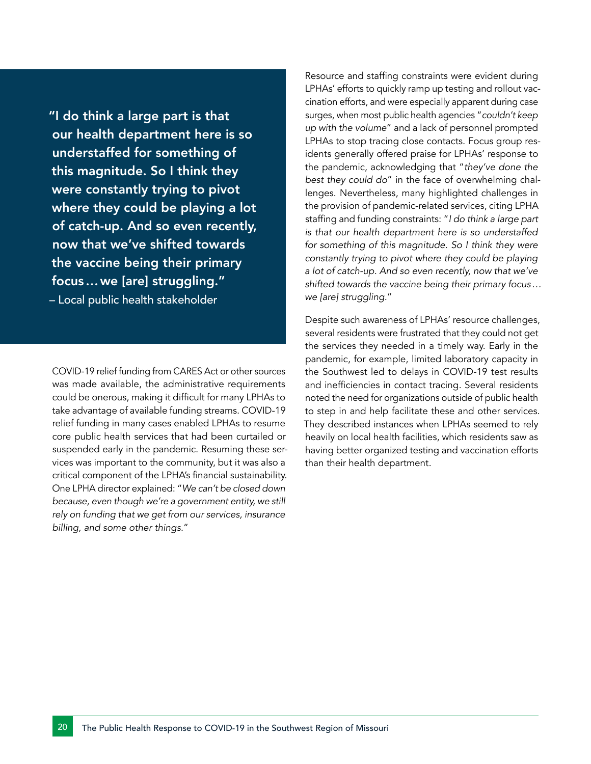"I do think a large part is that our health department here is so understaffed for something of this magnitude. So I think they were constantly trying to pivot where they could be playing a lot of catch-up. And so even recently, now that we've shifted towards the vaccine being their primary focus…we [are] struggling." – Local public health stakeholder

COVID-19 relief funding from CARES Act or other sources was made available, the administrative requirements could be onerous, making it difficult for many LPHAs to take advantage of available funding streams. COVID-19 relief funding in many cases enabled LPHAs to resume core public health services that had been curtailed or suspended early in the pandemic. Resuming these services was important to the community, but it was also a critical component of the LPHA's financial sustainability. One LPHA director explained: "*We can't be closed down because, even though we're a government entity, we still rely on funding that we get from our services, insurance billing, and some other things.*"

Resource and staffing constraints were evident during LPHAs' efforts to quickly ramp up testing and rollout vaccination efforts, and were especially apparent during case surges, when most public health agencies "*couldn't keep up with the volume*" and a lack of personnel prompted LPHAs to stop tracing close contacts. Focus group residents generally offered praise for LPHAs' response to the pandemic, acknowledging that "*they've done the best they could do*" in the face of overwhelming challenges. Nevertheless, many highlighted challenges in the provision of pandemic-related services, citing LPHA staffing and funding constraints: "*I do think a large part is that our health department here is so understaffed for something of this magnitude. So I think they were constantly trying to pivot where they could be playing a lot of catch-up. And so even recently, now that we've shifted towards the vaccine being their primary focus… we [are] struggling.*"

Despite such awareness of LPHAs' resource challenges, several residents were frustrated that they could not get the services they needed in a timely way. Early in the pandemic, for example, limited laboratory capacity in the Southwest led to delays in COVID-19 test results and inefficiencies in contact tracing. Several residents noted the need for organizations outside of public health to step in and help facilitate these and other services. They described instances when LPHAs seemed to rely heavily on local health facilities, which residents saw as having better organized testing and vaccination efforts than their health department.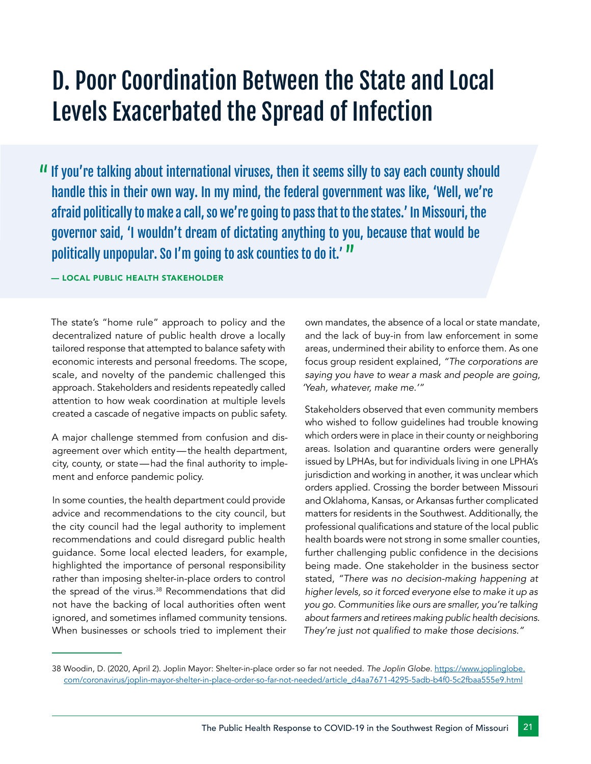# D. Poor Coordination Between the State and Local Levels Exacerbated the Spread of Infection

If you're talking about international viruses, then it seems silly to say each county should handle this in their own way. In my mind, the federal government was like, 'Well, we're afraid politically to make a call, so we're going to pass that to the states.' In Missouri, the governor said, 'I wouldn't dream of dictating anything to you, because that would be politically unpopular. So I'm going to ask counties to do it.'  

#### — LOCAL PUBLIC HEALTH STAKEHOLDER

The state's "home rule" approach to policy and the decentralized nature of public health drove a locally tailored response that attempted to balance safety with economic interests and personal freedoms. The scope, scale, and novelty of the pandemic challenged this approach. Stakeholders and residents repeatedly called attention to how weak coordination at multiple levels created a cascade of negative impacts on public safety.

A major challenge stemmed from confusion and disagreement over which entity—the health department, city, county, or state—had the final authority to implement and enforce pandemic policy.

In some counties, the health department could provide advice and recommendations to the city council, but the city council had the legal authority to implement recommendations and could disregard public health guidance. Some local elected leaders, for example, highlighted the importance of personal responsibility rather than imposing shelter-in-place orders to control the spread of the virus.<sup>38</sup> Recommendations that did not have the backing of local authorities often went ignored, and sometimes inflamed community tensions. When businesses or schools tried to implement their

own mandates, the absence of a local or state mandate, and the lack of buy-in from law enforcement in some areas, undermined their ability to enforce them. As one focus group resident explained, *"The corporations are saying you have to wear a mask and people are going, 'Yeah, whatever, make me.'"*

Stakeholders observed that even community members who wished to follow guidelines had trouble knowing which orders were in place in their county or neighboring areas. Isolation and quarantine orders were generally issued by LPHAs, but for individuals living in one LPHA's jurisdiction and working in another, it was unclear which orders applied. Crossing the border between Missouri and Oklahoma, Kansas, or Arkansas further complicated matters for residents in the Southwest. Additionally, the professional qualifications and stature of the local public health boards were not strong in some smaller counties, further challenging public confidence in the decisions being made. One stakeholder in the business sector stated, *"There was no decision-making happening at higher levels, so it forced everyone else to make it up as you go. Communities like ours are smaller, you're talking about farmers and retirees making public health decisions.*  They're just not qualified to make those decisions."

<sup>38</sup> Woodin, D. (2020, April 2). Joplin Mayor: Shelter-in-place order so far not needed. *The Joplin Globe.* [https://www.joplinglobe.](https://www.joplinglobe.com/coronavirus/joplin-mayor-shelter-in-place-order-so-far-not-needed/article_d4aa7671-4295-5adb-b4f0-5c2fbaa555e9.html ) [com/coronavirus/joplin-mayor-shelter-in-place-order-so-far-not-needed/article\\_d4aa7671-4295-5adb-b4f0-5c2fbaa555e9.html](https://www.joplinglobe.com/coronavirus/joplin-mayor-shelter-in-place-order-so-far-not-needed/article_d4aa7671-4295-5adb-b4f0-5c2fbaa555e9.html )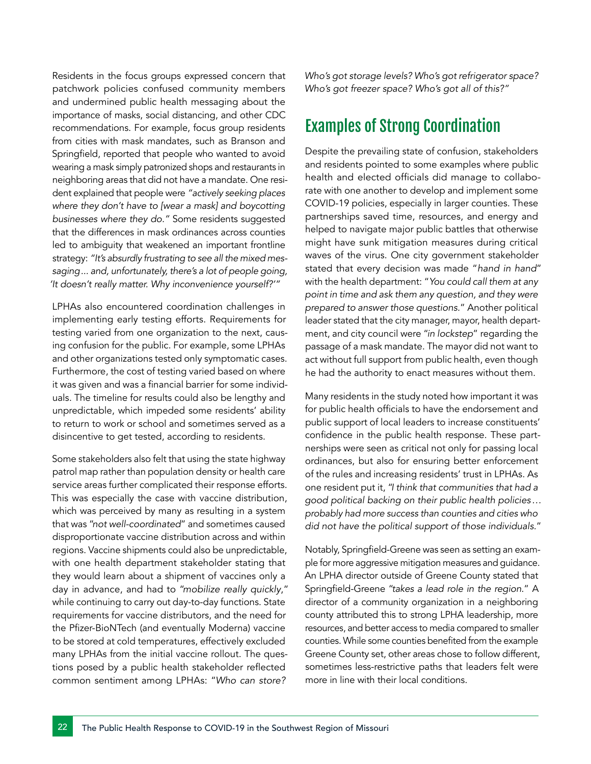Residents in the focus groups expressed concern that patchwork policies confused community members and undermined public health messaging about the importance of masks, social distancing, and other CDC recommendations. For example, focus group residents from cities with mask mandates, such as Branson and Springfield, reported that people who wanted to avoid wearing a mask simply patronized shops and restaurants in neighboring areas that did not have a mandate. One resident explained that people were *"actively seeking places where they don't have to [wear a mask] and boycotting businesses where they do."* Some residents suggested that the differences in mask ordinances across counties led to ambiguity that weakened an important frontline strategy: *"It's absurdly frustrating to see all the mixed messaging... and, unfortunately, there's a lot of people going, 'It doesn't really matter. Why inconvenience yourself?'"*

LPHAs also encountered coordination challenges in implementing early testing efforts. Requirements for testing varied from one organization to the next, causing confusion for the public. For example, some LPHAs and other organizations tested only symptomatic cases. Furthermore, the cost of testing varied based on where it was given and was a financial barrier for some individuals. The timeline for results could also be lengthy and unpredictable, which impeded some residents' ability to return to work or school and sometimes served as a disincentive to get tested, according to residents.

Some stakeholders also felt that using the state highway patrol map rather than population density or health care service areas further complicated their response efforts. This was especially the case with vaccine distribution, which was perceived by many as resulting in a system that was "*not well-coordinated*" and sometimes caused disproportionate vaccine distribution across and within regions. Vaccine shipments could also be unpredictable, with one health department stakeholder stating that they would learn about a shipment of vaccines only a day in advance, and had to "*mobilize really quickly*," while continuing to carry out day-to-day functions. State requirements for vaccine distributors, and the need for the Pfizer-BioNTech (and eventually Moderna) vaccine to be stored at cold temperatures, effectively excluded many LPHAs from the initial vaccine rollout. The questions posed by a public health stakeholder reflected common sentiment among LPHAs: "*Who can store?* *Who's got storage levels? Who's got refrigerator space? Who's got freezer space? Who's got all of this?"* 

### Examples of Strong Coordination

Despite the prevailing state of confusion, stakeholders and residents pointed to some examples where public health and elected officials did manage to collaborate with one another to develop and implement some COVID-19 policies, especially in larger counties. These partnerships saved time, resources, and energy and helped to navigate major public battles that otherwise might have sunk mitigation measures during critical waves of the virus. One city government stakeholder stated that every decision was made "*hand in hand*" with the health department: "*You could call them at any point in time and ask them any question, and they were prepared to answer those questions.*" Another political leader stated that the city manager, mayor, health department, and city council were "*in lockstep*" regarding the passage of a mask mandate. The mayor did not want to act without full support from public health, even though he had the authority to enact measures without them.

Many residents in the study noted how important it was for public health officials to have the endorsement and public support of local leaders to increase constituents' confidence in the public health response. These partnerships were seen as critical not only for passing local ordinances, but also for ensuring better enforcement of the rules and increasing residents' trust in LPHAs. As one resident put it, "*I think that communities that had a good political backing on their public health policies… probably had more success than counties and cities who did not have the political support of those individuals.*"

Notably, Springfield-Greene was seen as setting an example for more aggressive mitigation measures and guidance. An LPHA director outside of Greene County stated that Springfield-Greene "*takes a lead role in the region*." A director of a community organization in a neighboring county attributed this to strong LPHA leadership, more resources, and better access to media compared to smaller counties. While some counties benefited from the example Greene County set, other areas chose to follow different, sometimes less-restrictive paths that leaders felt were more in line with their local conditions.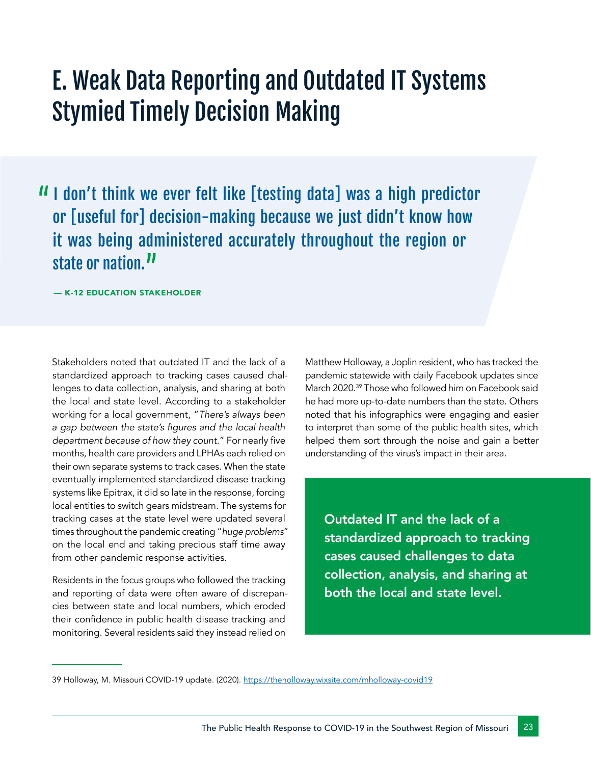# E. Weak Data Reporting and Outdated IT Systems Stymied Timely Decision Making

II don't think we ever felt like [testing data] was a high predictor or [useful for] decision-making because we just didn't know how it was being administered accurately throughout the region or state or nation.<sup>11</sup>

— K-12 EDUCATION STAKEHOLDER

Stakeholders noted that outdated IT and the lack of a standardized approach to tracking cases caused challenges to data collection, analysis, and sharing at both the local and state level. According to a stakeholder working for a local government, "*There's always been*  a gap between the state's figures and the local health *department because of how they count.*" For nearly five months, health care providers and LPHAs each relied on their own separate systems to track cases. When the state eventually implemented standardized disease tracking systems like Epitrax, it did so late in the response, forcing local entities to switch gears midstream. The systems for tracking cases at the state level were updated several times throughout the pandemic creating "*huge problems*" on the local end and taking precious staff time away from other pandemic response activities.

Residents in the focus groups who followed the tracking and reporting of data were often aware of discrepancies between state and local numbers, which eroded their confidence in public health disease tracking and monitoring. Several residents said they instead relied on

Matthew Holloway, a Joplin resident, who has tracked the pandemic statewide with daily Facebook updates since March 2020.39 Those who followed him on Facebook said he had more up-to-date numbers than the state. Others noted that his infographics were engaging and easier to interpret than some of the public health sites, which helped them sort through the noise and gain a better understanding of the virus's impact in their area.

Outdated IT and the lack of a standardized approach to tracking cases caused challenges to data collection, analysis, and sharing at both the local and state level.

<sup>39</sup> Holloway, M. Missouri COVID-19 update. (2020). [https://theholloway.wixsite.com/mholloway-covid19]( https://theholloway.wixsite.com/mholloway-covid19)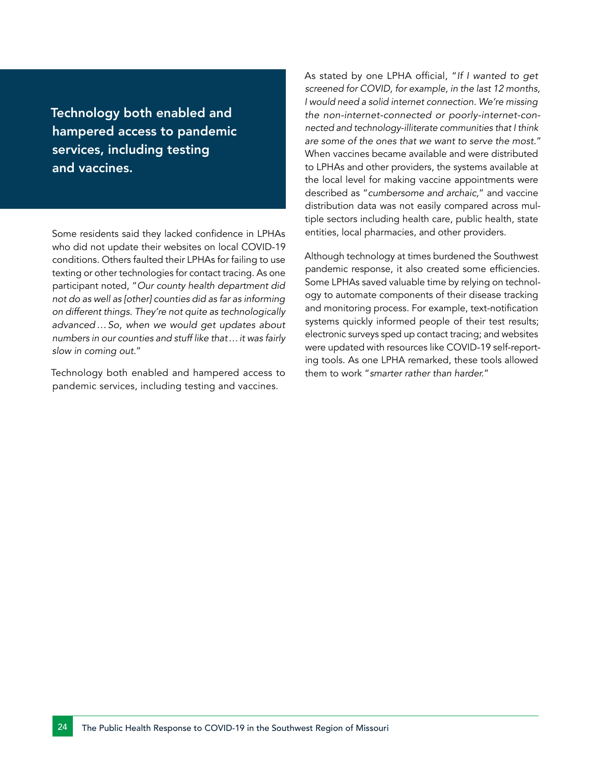Technology both enabled and hampered access to pandemic services, including testing and vaccines.

Some residents said they lacked confidence in LPHAs who did not update their websites on local COVID-19 conditions. Others faulted their LPHAs for failing to use texting or other technologies for contact tracing. As one participant noted, "*Our county health department did not do as well as [other] counties did as far as informing on different things. They're not quite as technologically advanced…So, when we would get updates about numbers in our counties and stuff like that…it was fairly slow in coming out.*"

Technology both enabled and hampered access to pandemic services, including testing and vaccines.

As stated by one LPHA official, "*If I wanted to get screened for COVID, for example, in the last 12 months, I would need a solid internet connection. We're missing the non-internet-connected or poorly-internet-connected and technology-illiterate communities that I think are some of the ones that we want to serve the most.*" When vaccines became available and were distributed to LPHAs and other providers, the systems available at the local level for making vaccine appointments were described as "*cumbersome and archaic,*" and vaccine distribution data was not easily compared across multiple sectors including health care, public health, state entities, local pharmacies, and other providers.

Although technology at times burdened the Southwest pandemic response, it also created some efficiencies. Some LPHAs saved valuable time by relying on technology to automate components of their disease tracking and monitoring process. For example, text-notification systems quickly informed people of their test results; electronic surveys sped up contact tracing; and websites were updated with resources like COVID-19 self-reporting tools. As one LPHA remarked, these tools allowed them to work "*smarter rather than harder.*"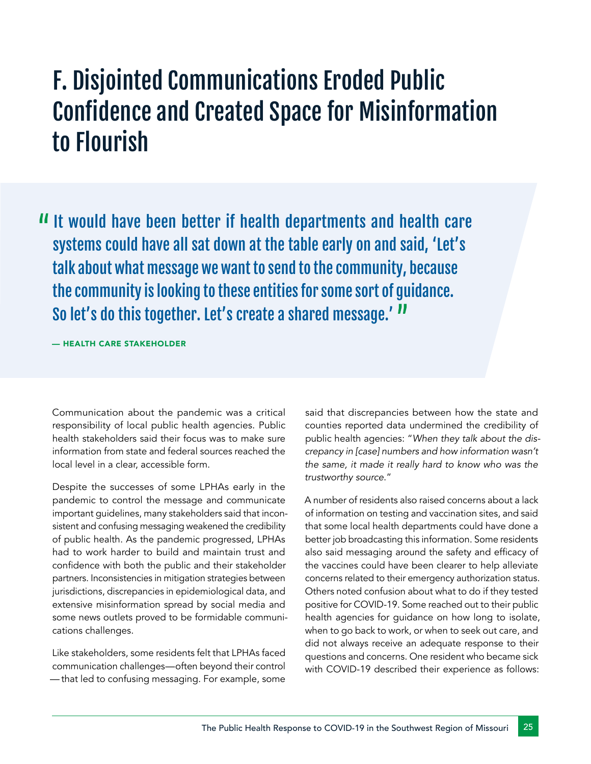# F. Disjointed Communications Eroded Public Confidence and Created Space for Misinformation to Flourish

It would have been better if health departments and health care systems could have all sat down at the table early on and said, 'Let's talk about what message we want to send to the community, because the community is looking to these entities for some sort of guidance. So let's do this together. Let's create a shared message.' "

— HEALTH CARE STAKEHOLDER

Communication about the pandemic was a critical responsibility of local public health agencies. Public health stakeholders said their focus was to make sure information from state and federal sources reached the local level in a clear, accessible form.

Despite the successes of some LPHAs early in the pandemic to control the message and communicate important guidelines, many stakeholders said that inconsistent and confusing messaging weakened the credibility of public health. As the pandemic progressed, LPHAs had to work harder to build and maintain trust and confidence with both the public and their stakeholder partners. Inconsistencies in mitigation strategies between jurisdictions, discrepancies in epidemiological data, and extensive misinformation spread by social media and some news outlets proved to be formidable communications challenges.

Like stakeholders, some residents felt that LPHAs faced communication challenges—often beyond their control —  that led to confusing messaging. For example, some

said that discrepancies between how the state and counties reported data undermined the credibility of public health agencies: "*When they talk about the discrepancy in [case] numbers and how information wasn't the same, it made it really hard to know who was the trustworthy source*."

A number of residents also raised concerns about a lack of information on testing and vaccination sites, and said that some local health departments could have done a better job broadcasting this information. Some residents also said messaging around the safety and efficacy of the vaccines could have been clearer to help alleviate concerns related to their emergency authorization status. Others noted confusion about what to do if they tested positive for COVID-19. Some reached out to their public health agencies for guidance on how long to isolate, when to go back to work, or when to seek out care, and did not always receive an adequate response to their questions and concerns. One resident who became sick with COVID-19 described their experience as follows: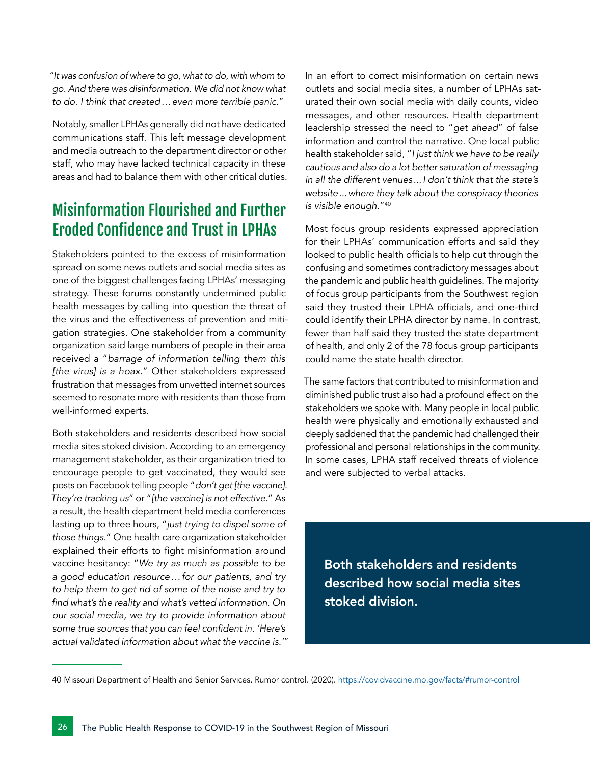*"It was confusion of where to go, what to do, with whom to go. And there was disinformation. We did not know what to do. I think that created…even more terrible panic.*"

Notably, smaller LPHAs generally did not have dedicated communications staff. This left message development and media outreach to the department director or other staff, who may have lacked technical capacity in these areas and had to balance them with other critical duties.

## Misinformation Flourished and Further Eroded Confidence and Trust in LPHAs

Stakeholders pointed to the excess of misinformation spread on some news outlets and social media sites as one of the biggest challenges facing LPHAs' messaging strategy. These forums constantly undermined public health messages by calling into question the threat of the virus and the effectiveness of prevention and mitigation strategies. One stakeholder from a community organization said large numbers of people in their area received a "*barrage of information telling them this [the virus] is a hoax.*" Other stakeholders expressed frustration that messages from unvetted internet sources seemed to resonate more with residents than those from well-informed experts.

Both stakeholders and residents described how social media sites stoked division. According to an emergency management stakeholder, as their organization tried to encourage people to get vaccinated, they would see posts on Facebook telling people "*don't get [the vaccine]. They're tracking us*" or "*[the vaccine] is not effective.*" As a result, the health department held media conferences lasting up to three hours, "*just trying to dispel some of those things.*" One health care organization stakeholder explained their efforts to fight misinformation around vaccine hesitancy: "*We try as much as possible to be a good education resource…for our patients, and try to help them to get rid of some of the noise and try to*  find what's the reality and what's vetted information. On *our social media, we try to provide information about*  some true sources that you can feel confident in. 'Here's *actual validated information about what the vaccine is.'*"

In an effort to correct misinformation on certain news outlets and social media sites, a number of LPHAs saturated their own social media with daily counts, video messages, and other resources. Health department leadership stressed the need to "*get ahead*" of false information and control the narrative. One local public health stakeholder said, "*I just think we have to be really cautious and also do a lot better saturation of messaging in all the different venues ...I don't think that the state's website...where they talk about the conspiracy theories is visible enough.*"40

Most focus group residents expressed appreciation for their LPHAs' communication efforts and said they looked to public health officials to help cut through the confusing and sometimes contradictory messages about the pandemic and public health guidelines. The majority of focus group participants from the Southwest region said they trusted their LPHA officials, and one-third could identify their LPHA director by name. In contrast, fewer than half said they trusted the state department of health, and only 2 of the 78 focus group participants could name the state health director.

The same factors that contributed to misinformation and diminished public trust also had a profound effect on the stakeholders we spoke with. Many people in local public health were physically and emotionally exhausted and deeply saddened that the pandemic had challenged their professional and personal relationships in the community. In some cases, LPHA staff received threats of violence and were subjected to verbal attacks.

Both stakeholders and residents described how social media sites stoked division.

<sup>40</sup> Missouri Department of Health and Senior Services. Rumor control. (2020). <https://covidvaccine.mo.gov/facts/#rumor-control>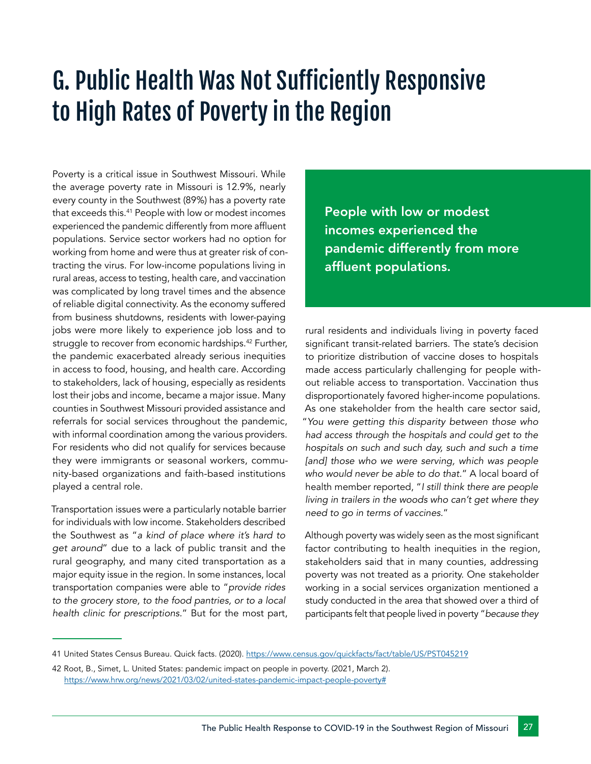# G. Public Health Was Not Sufficiently Responsive to High Rates of Poverty in the Region

Poverty is a critical issue in Southwest Missouri. While the average poverty rate in Missouri is 12.9%, nearly every county in the Southwest (89%) has a poverty rate that exceeds this.41 People with low or modest incomes experienced the pandemic differently from more affluent populations. Service sector workers had no option for working from home and were thus at greater risk of contracting the virus. For low-income populations living in rural areas, access to testing, health care, and vaccination was complicated by long travel times and the absence of reliable digital connectivity. As the economy suffered from business shutdowns, residents with lower-paying jobs were more likely to experience job loss and to struggle to recover from economic hardships.<sup>42</sup> Further, the pandemic exacerbated already serious inequities in access to food, housing, and health care. According to stakeholders, lack of housing, especially as residents lost their jobs and income, became a major issue. Many counties in Southwest Missouri provided assistance and referrals for social services throughout the pandemic, with informal coordination among the various providers. For residents who did not qualify for services because they were immigrants or seasonal workers, community-based organizations and faith-based institutions played a central role.

Transportation issues were a particularly notable barrier for individuals with low income. Stakeholders described the Southwest as "*a kind of place where it's hard to get around*" due to a lack of public transit and the rural geography, and many cited transportation as a major equity issue in the region. In some instances, local transportation companies were able to "*provide rides to the grocery store, to the food pantries, or to a local health clinic for prescriptions.*" But for the most part, People with low or modest incomes experienced the pandemic differently from more affluent populations.

rural residents and individuals living in poverty faced significant transit-related barriers. The state's decision to prioritize distribution of vaccine doses to hospitals made access particularly challenging for people without reliable access to transportation. Vaccination thus disproportionately favored higher-income populations. As one stakeholder from the health care sector said, "*You were getting this disparity between those who had access through the hospitals and could get to the hospitals on such and such day, such and such a time*  [and] those who we were serving, which was people *who would never be able to do that.*" A local board of health member reported, "*I still think there are people living in trailers in the woods who can't get where they need to go in terms of vaccines.*"

Although poverty was widely seen as the most significant factor contributing to health inequities in the region, stakeholders said that in many counties, addressing poverty was not treated as a priority. One stakeholder working in a social services organization mentioned a study conducted in the area that showed over a third of participants felt that people lived in poverty "*because they* 

<sup>41</sup> United States Census Bureau. Quick facts. (2020).<https://www.census.gov/quickfacts/fact/table/US/PST045219>

<sup>42</sup> Root, B., Simet, L. United States: pandemic impact on people in poverty. (2021, March 2). [https://www.hrw.org/news/2021/03/02/united-states-pandemic-impact-people-poverty#](https://www.hrw.org/news/2021/03/02/united-states-pandemic-impact-people-poverty# )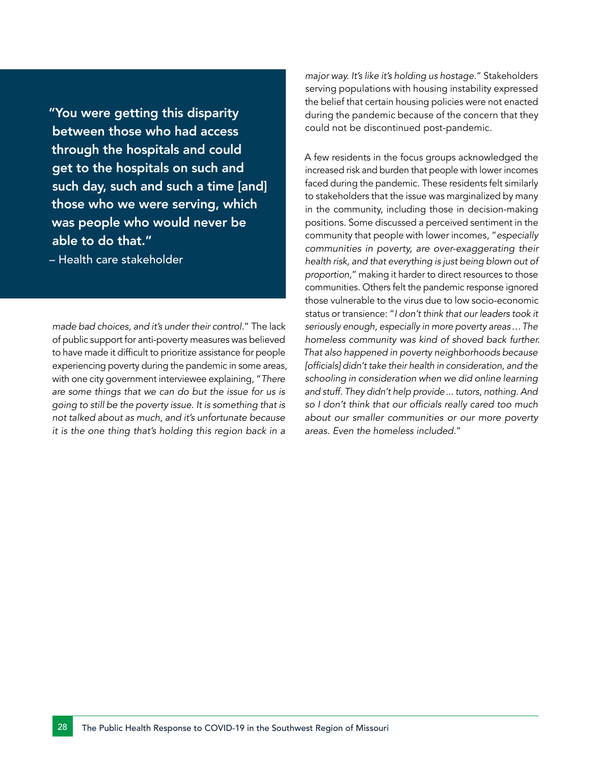"You were getting this disparity between those who had access through the hospitals and could get to the hospitals on such and such day, such and such a time [and] those who we were serving, which was people who would never be able to do that."

– Health care stakeholder

*made bad choices, and it's under their control.*" The lack of public support for anti-poverty measures was believed to have made it difficult to prioritize assistance for people experiencing poverty during the pandemic in some areas, with one city government interviewee explaining, "*There are some things that we can do but the issue for us is going to still be the poverty issue. It is something that is not talked about as much, and it's unfortunate because it is the one thing that's holding this region back in a* 

*major way. It's like it's holding us hostage.*" Stakeholders serving populations with housing instability expressed the belief that certain housing policies were not enacted during the pandemic because of the concern that they could not be discontinued post-pandemic.

A few residents in the focus groups acknowledged the increased risk and burden that people with lower incomes faced during the pandemic. These residents felt similarly to stakeholders that the issue was marginalized by many in the community, including those in decision-making positions. Some discussed a perceived sentiment in the community that people with lower incomes, "*especially communities in poverty, are over-exaggerating their health risk, and that everything is just being blown out of proportion,*" making it harder to direct resources to those communities. Others felt the pandemic response ignored those vulnerable to the virus due to low socio-economic status or transience: "*I don't think that our leaders took it seriously enough, especially in more poverty areas…The homeless community was kind of shoved back further. That also happened in poverty neighborhoods because*  [officials] didn't take their health in consideration, and the *schooling in consideration when we did online learning and stuff. They didn't help provide... tutors, nothing. And*  so I don't think that our officials really cared too much *about our smaller communities or our more poverty areas. Even the homeless included.*"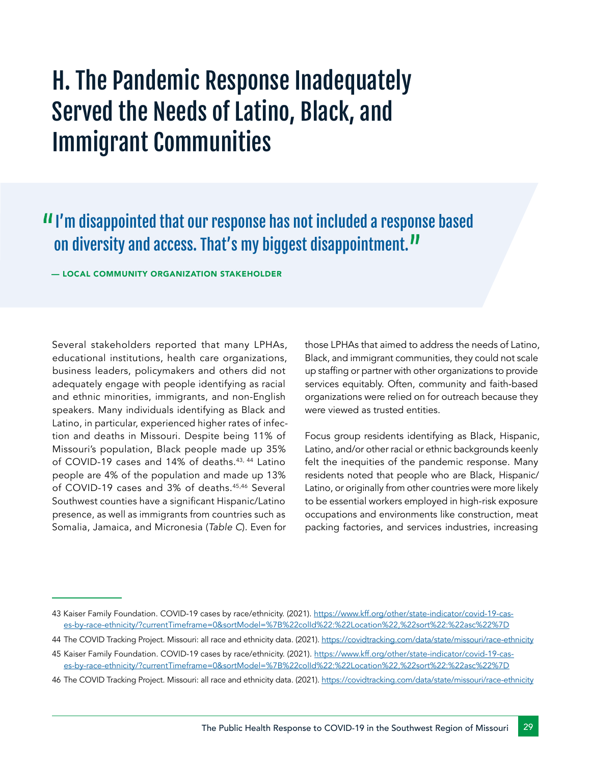# H. The Pandemic Response Inadequately Served the Needs of Latino, Black, and Immigrant Communities

## I'm disappointed that our response has not included a response based on diversity and access. That's my biggest disappointment."

— LOCAL COMMUNITY ORGANIZATION STAKEHOLDER

Several stakeholders reported that many LPHAs, educational institutions, health care organizations, business leaders, policymakers and others did not adequately engage with people identifying as racial and ethnic minorities, immigrants, and non-English speakers. Many individuals identifying as Black and Latino, in particular, experienced higher rates of infection and deaths in Missouri. Despite being 11% of Missouri's population, Black people made up 35% of COVID-19 cases and 14% of deaths.<sup>43, 44</sup> Latino people are 4% of the population and made up 13% of COVID-19 cases and 3% of deaths.45,46 Several Southwest counties have a significant Hispanic/Latino presence, as well as immigrants from countries such as Somalia, Jamaica, and Micronesia (*Table C*). Even for

those LPHAs that aimed to address the needs of Latino, Black, and immigrant communities, they could not scale up staffing or partner with other organizations to provide services equitably. Often, community and faith-based organizations were relied on for outreach because they were viewed as trusted entities.

Focus group residents identifying as Black, Hispanic, Latino, and/or other racial or ethnic backgrounds keenly felt the inequities of the pandemic response. Many residents noted that people who are Black, Hispanic/ Latino, or originally from other countries were more likely to be essential workers employed in high-risk exposure occupations and environments like construction, meat packing factories, and services industries, increasing

<sup>43</sup> Kaiser Family Foundation. COVID-19 cases by race/ethnicity. (2021). [https://www.kff.org/other/state-indicator/covid-19-cas](https://www.kff.org/other/state-indicator/covid-19-cases-by-race-ethnicity/?currentTimeframe=0&sortModel=%7B%22colId%22:%22Location%22,%22sort%22:%22asc%22%7D)[es-by-race-ethnicity/?currentTimeframe=0&sortModel=%7B%22colId%22:%22Location%22,%22sort%22:%22asc%22%7D](https://www.kff.org/other/state-indicator/covid-19-cases-by-race-ethnicity/?currentTimeframe=0&sortModel=%7B%22colId%22:%22Location%22,%22sort%22:%22asc%22%7D)

<sup>44</sup> The COVID Tracking Project. Missouri: all race and ethnicity data. (2021).<https://covidtracking.com/data/state/missouri/race-ethnicity>

<sup>45</sup> Kaiser Family Foundation. COVID-19 cases by race/ethnicity. (2021). [https://www.kff.org/other/state-indicator/covid-19-cas](https://www.kff.org/other/state-indicator/covid-19-cases-by-race-ethnicity/?currentTimeframe=0&sortModel=%7B%22colId%22:%22Location%22,%22sort%22:%22asc%22%7D)[es-by-race-ethnicity/?currentTimeframe=0&sortModel=%7B%22colId%22:%22Location%22,%22sort%22:%22asc%22%7D](https://www.kff.org/other/state-indicator/covid-19-cases-by-race-ethnicity/?currentTimeframe=0&sortModel=%7B%22colId%22:%22Location%22,%22sort%22:%22asc%22%7D)

<sup>46</sup> The COVID Tracking Project. Missouri: all race and ethnicity data. (2021).<https://covidtracking.com/data/state/missouri/race-ethnicity>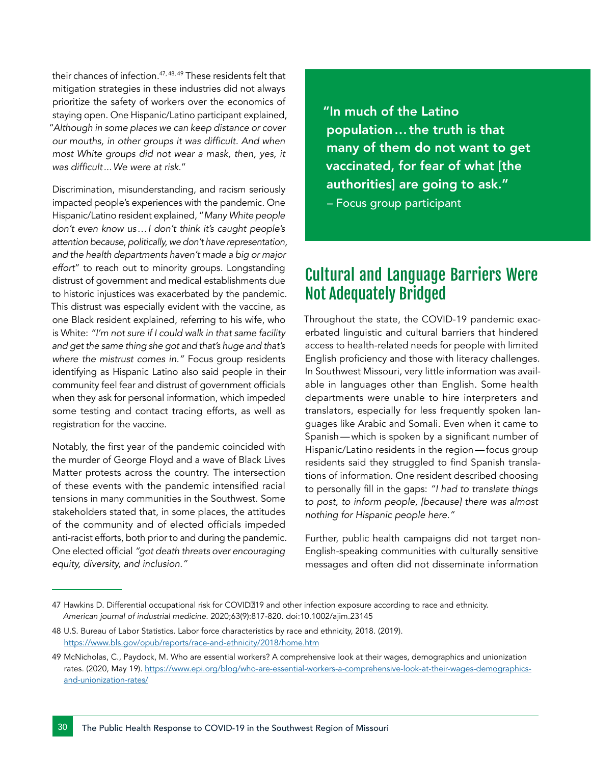their chances of infection.47, 48, 49 These residents felt that mitigation strategies in these industries did not always prioritize the safety of workers over the economics of staying open. One Hispanic/Latino participant explained, "*Although in some places we can keep distance or cover*  our mouths, in other groups it was difficult. And when *most White groups did not wear a mask, then, yes, it*  was difficult. We were at risk."

Discrimination, misunderstanding, and racism seriously impacted people's experiences with the pandemic. One Hispanic/Latino resident explained, "*Many White people don't even know us…I don't think it's caught people's attention because, politically, we don't have representation, and the health departments haven't made a big or major effort*" to reach out to minority groups. Longstanding distrust of government and medical establishments due to historic injustices was exacerbated by the pandemic. This distrust was especially evident with the vaccine, as one Black resident explained, referring to his wife, who is White: *"I'm not sure if I could walk in that same facility and get the same thing she got and that's huge and that's where the mistrust comes in."* Focus group residents identifying as Hispanic Latino also said people in their community feel fear and distrust of government officials when they ask for personal information, which impeded some testing and contact tracing efforts, as well as registration for the vaccine.

Notably, the first year of the pandemic coincided with the murder of George Floyd and a wave of Black Lives Matter protests across the country. The intersection of these events with the pandemic intensified racial tensions in many communities in the Southwest. Some stakeholders stated that, in some places, the attitudes of the community and of elected officials impeded anti-racist efforts, both prior to and during the pandemic. One elected official *"got death threats over encouraging equity, diversity, and inclusion."*

"In much of the Latino population…the truth is that many of them do not want to get vaccinated, for fear of what [the authorities] are going to ask." – Focus group participant

## Cultural and Language Barriers Were Not Adequately Bridged

Throughout the state, the COVID-19 pandemic exacerbated linguistic and cultural barriers that hindered access to health-related needs for people with limited English proficiency and those with literacy challenges. In Southwest Missouri, very little information was available in languages other than English. Some health departments were unable to hire interpreters and translators, especially for less frequently spoken languages like Arabic and Somali. Even when it came to Spanish—which is spoken by a significant number of Hispanic/Latino residents in the region—focus group residents said they struggled to find Spanish translations of information. One resident described choosing to personally fill in the gaps: *"I had to translate things to post, to inform people, [because] there was almost nothing for Hispanic people here."* 

Further, public health campaigns did not target non-English-speaking communities with culturally sensitive messages and often did not disseminate information

<sup>47</sup> Hawkins D. Differential occupational risk for COVID019 and other infection exposure according to race and ethnicity. *American journal of industrial medicine*. 2020;63(9):817-820. doi:10.1002/ajim.23145

<sup>48</sup> U.S. Bureau of Labor Statistics. Labor force characteristics by race and ethnicity, 2018. (2019). <https://www.bls.gov/opub/reports/race-and-ethnicity/2018/home.htm>

<sup>49</sup> McNicholas, C., Paydock, M. Who are essential workers? A comprehensive look at their wages, demographics and unionization rates. (2020, May 19). [https://www.epi.org/blog/who-are-essential-workers-a-comprehensive-look-at-their-wages-demographics](https://www.epi.org/blog/who-are-essential-workers-a-comprehensive-look-at-their-wages-demographics-and-unionization-rates/ )[and-unionization-rates/](https://www.epi.org/blog/who-are-essential-workers-a-comprehensive-look-at-their-wages-demographics-and-unionization-rates/ )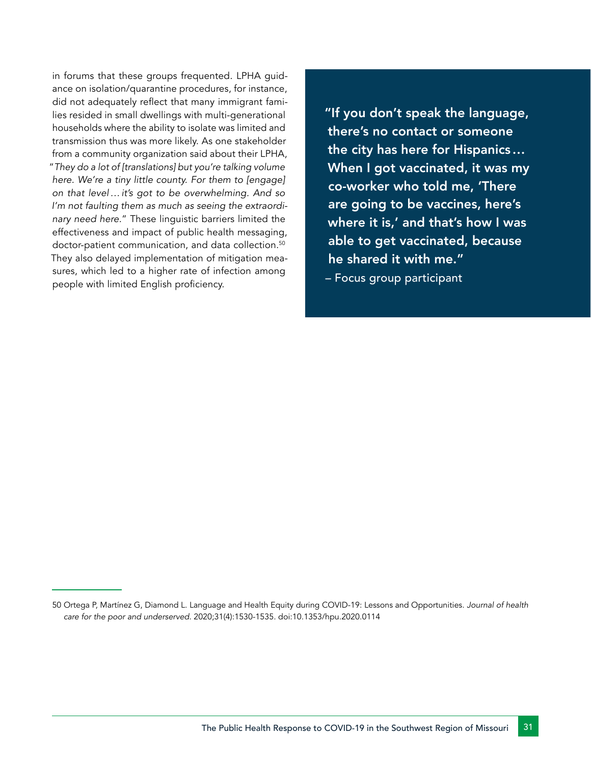in forums that these groups frequented. LPHA guidance on isolation/quarantine procedures, for instance, did not adequately reflect that many immigrant families resided in small dwellings with multi-generational households where the ability to isolate was limited and transmission thus was more likely. As one stakeholder from a community organization said about their LPHA, "*They do a lot of [translations] but you're talking volume here. We're a tiny little county. For them to [engage] on that level…it's got to be overwhelming. And so I'm not faulting them as much as seeing the extraordinary need here.*" These linguistic barriers limited the effectiveness and impact of public health messaging, doctor-patient communication, and data collection.<sup>50</sup> They also delayed implementation of mitigation measures, which led to a higher rate of infection among people with limited English proficiency.

"If you don't speak the language, there's no contact or someone the city has here for Hispanics… When I got vaccinated, it was my co-worker who told me, 'There are going to be vaccines, here's where it is,' and that's how I was able to get vaccinated, because he shared it with me."

– Focus group participant

<sup>50</sup> Ortega P, Martínez G, Diamond L. Language and Health Equity during COVID-19: Lessons and Opportunities. *Journal of health care for the poor and underserved.* 2020;31(4):1530-1535. doi:10.1353/hpu.2020.0114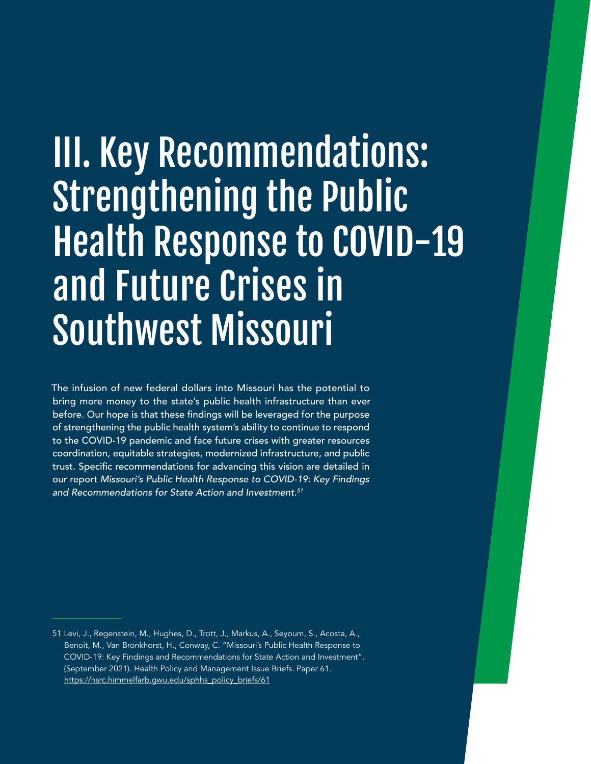# III. Key Recommendations: Strengthening the Public Health Response to COVID-19 and Future Crises in Southwest Missouri

The infusion of new federal dollars into Missouri has the potential to bring more money to the state's public health infrastructure than ever before. Our hope is that these findings will be leveraged for the purpose of strengthening the public health system's ability to continue to respond to the COVID-19 pandemic and face future crises with greater resources coordination, equitable strategies, modernized infrastructure, and public trust. Specific recommendations for advancing this vision are detailed in our report Missouri's Public Health Response to COVID-19: Key Findings and Recommendations for State Action and Investment.<sup>51</sup>

<sup>51</sup> Levi, J., Regenstein, M., Hughes, D., Trott, J., Markus, A., Seyoum, S., Acosta, A., Benoit, M., Van Bronkhorst, H., Conway, C. "Missouri's Public Health Response to COVID-19: Key Findings and Recommendations for State Action and Investment". (September 2021). Health Policy and Management Issue Briefs. Paper 61. [https://hsrc.himmelfarb.gwu.edu/sphhs\\_policy\\_briefs/61](https://hsrc.himmelfarb.gwu.edu/sphhs_policy_briefs/61)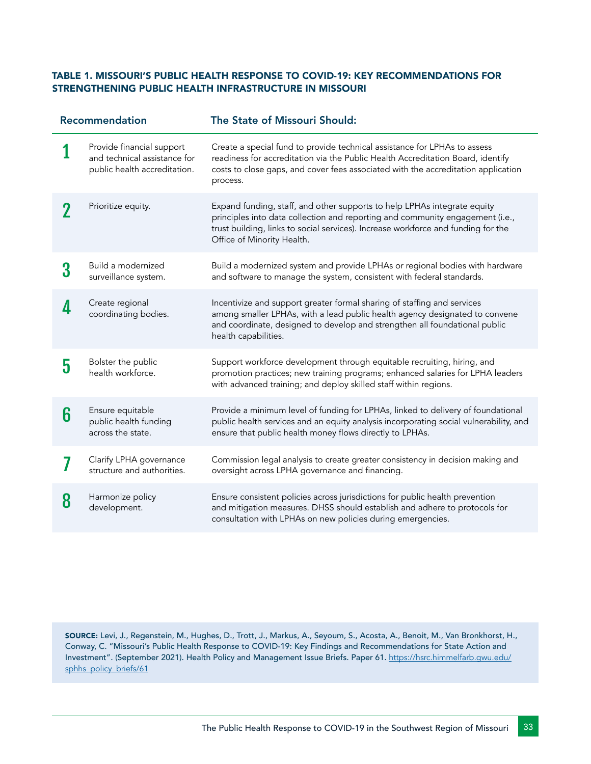#### TABLE 1. MISSOURI'S PUBLIC HEALTH RESPONSE TO COVID-19: KEY RECOMMENDATIONS FOR STRENGTHENING PUBLIC HEALTH INFRASTRUCTURE IN MISSOURI

| Recommendation |                                                                                           | The State of Missouri Should:                                                                                                                                                                                                                                                |  |
|----------------|-------------------------------------------------------------------------------------------|------------------------------------------------------------------------------------------------------------------------------------------------------------------------------------------------------------------------------------------------------------------------------|--|
|                | Provide financial support<br>and technical assistance for<br>public health accreditation. | Create a special fund to provide technical assistance for LPHAs to assess<br>readiness for accreditation via the Public Health Accreditation Board, identify<br>costs to close gaps, and cover fees associated with the accreditation application<br>process.                |  |
|                | Prioritize equity.                                                                        | Expand funding, staff, and other supports to help LPHAs integrate equity<br>principles into data collection and reporting and community engagement (i.e.,<br>trust building, links to social services). Increase workforce and funding for the<br>Office of Minority Health. |  |
| 3              | Build a modernized<br>surveillance system.                                                | Build a modernized system and provide LPHAs or regional bodies with hardware<br>and software to manage the system, consistent with federal standards.                                                                                                                        |  |
|                | Create regional<br>coordinating bodies.                                                   | Incentivize and support greater formal sharing of staffing and services<br>among smaller LPHAs, with a lead public health agency designated to convene<br>and coordinate, designed to develop and strengthen all foundational public<br>health capabilities.                 |  |
| 5              | Bolster the public<br>health workforce.                                                   | Support workforce development through equitable recruiting, hiring, and<br>promotion practices; new training programs; enhanced salaries for LPHA leaders<br>with advanced training; and deploy skilled staff within regions.                                                |  |
| 6              | Ensure equitable<br>public health funding<br>across the state.                            | Provide a minimum level of funding for LPHAs, linked to delivery of foundational<br>public health services and an equity analysis incorporating social vulnerability, and<br>ensure that public health money flows directly to LPHAs.                                        |  |
|                | Clarify LPHA governance<br>structure and authorities.                                     | Commission legal analysis to create greater consistency in decision making and<br>oversight across LPHA governance and financing.                                                                                                                                            |  |
| 8              | Harmonize policy<br>development.                                                          | Ensure consistent policies across jurisdictions for public health prevention<br>and mitigation measures. DHSS should establish and adhere to protocols for<br>consultation with LPHAs on new policies during emergencies.                                                    |  |

SOURCE: Levi, J., Regenstein, M., Hughes, D., Trott, J., Markus, A., Seyoum, S., Acosta, A., Benoit, M., Van Bronkhorst, H., Conway, C. "Missouri's Public Health Response to COVID-19: Key Findings and Recommendations for State Action and Investment". (September 2021). Health Policy and Management Issue Briefs. Paper 61. [https://hsrc.himmelfarb.gwu.edu/](https://hsrc.himmelfarb.gwu.edu/sphhs_policy_briefs/61) [sphhs\\_policy\\_briefs/61](https://hsrc.himmelfarb.gwu.edu/sphhs_policy_briefs/61)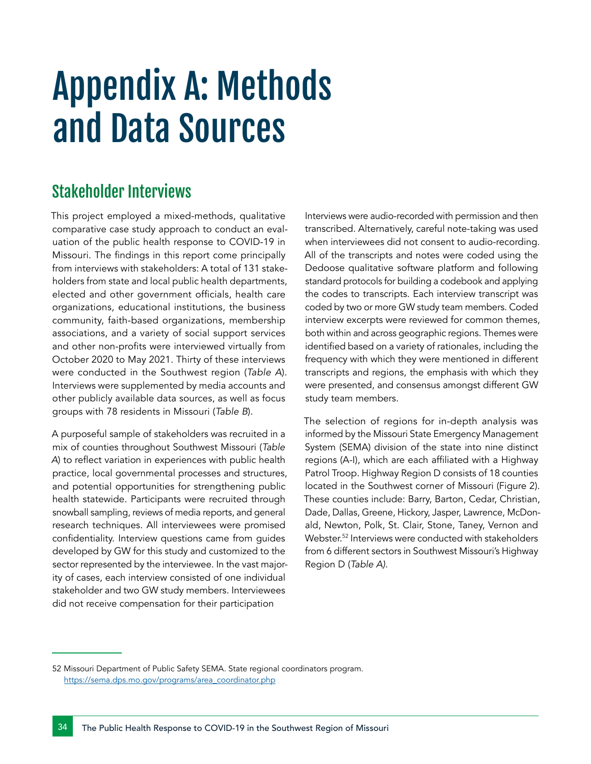# Appendix A: Methods and Data Sources

### Stakeholder Interviews

This project employed a mixed-methods, qualitative comparative case study approach to conduct an evaluation of the public health response to COVID-19 in Missouri. The findings in this report come principally from interviews with stakeholders: A total of 131 stakeholders from state and local public health departments, elected and other government officials, health care organizations, educational institutions, the business community, faith-based organizations, membership associations, and a variety of social support services and other non-profits were interviewed virtually from October 2020 to May 2021. Thirty of these interviews were conducted in the Southwest region (*Table A*). Interviews were supplemented by media accounts and other publicly available data sources, as well as focus groups with 78 residents in Missouri (*Table B*).

A purposeful sample of stakeholders was recruited in a mix of counties throughout Southwest Missouri (*Table A*) to reflect variation in experiences with public health practice, local governmental processes and structures, and potential opportunities for strengthening public health statewide. Participants were recruited through snowball sampling, reviews of media reports, and general research techniques. All interviewees were promised confidentiality. Interview questions came from guides developed by GW for this study and customized to the sector represented by the interviewee. In the vast majority of cases, each interview consisted of one individual stakeholder and two GW study members. Interviewees did not receive compensation for their participation

Interviews were audio-recorded with permission and then transcribed. Alternatively, careful note-taking was used when interviewees did not consent to audio-recording. All of the transcripts and notes were coded using the Dedoose qualitative software platform and following standard protocols for building a codebook and applying the codes to transcripts. Each interview transcript was coded by two or more GW study team members. Coded interview excerpts were reviewed for common themes, both within and across geographic regions. Themes were identified based on a variety of rationales, including the frequency with which they were mentioned in different transcripts and regions, the emphasis with which they were presented, and consensus amongst different GW study team members.

The selection of regions for in-depth analysis was informed by the Missouri State Emergency Management System (SEMA) division of the state into nine distinct regions (A-I), which are each affiliated with a Highway Patrol Troop. Highway Region D consists of 18 counties located in the Southwest corner of Missouri (Figure 2). These counties include: Barry, Barton, Cedar, Christian, Dade, Dallas, Greene, Hickory, Jasper, Lawrence, McDonald, Newton, Polk, St. Clair, Stone, Taney, Vernon and Webster.<sup>52</sup> Interviews were conducted with stakeholders from 6 different sectors in Southwest Missouri's Highway Region D (*Table A)*.

<sup>52</sup> Missouri Department of Public Safety SEMA. State regional coordinators program. [https://sema.dps.mo.gov/programs/area\\_coordinator.php](https://sema.dps.mo.gov/programs/area_coordinator.php)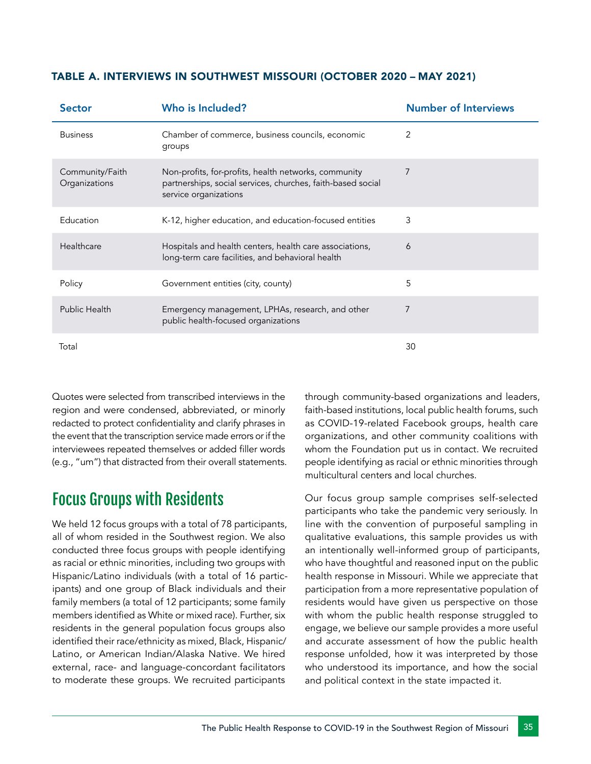| <b>Sector</b>                    | Who is Included?                                                                                                                             | <b>Number of Interviews</b> |
|----------------------------------|----------------------------------------------------------------------------------------------------------------------------------------------|-----------------------------|
| <b>Business</b>                  | Chamber of commerce, business councils, economic<br>groups                                                                                   | 2                           |
| Community/Faith<br>Organizations | Non-profits, for-profits, health networks, community<br>partnerships, social services, churches, faith-based social<br>service organizations | 7                           |
| Education                        | K-12, higher education, and education-focused entities                                                                                       | 3                           |
| Healthcare                       | Hospitals and health centers, health care associations,<br>long-term care facilities, and behavioral health                                  | 6                           |
| Policy                           | Government entities (city, county)                                                                                                           | 5                           |
| Public Health                    | Emergency management, LPHAs, research, and other<br>public health-focused organizations                                                      | 7                           |
| Total                            |                                                                                                                                              | 30                          |

#### TABLE A. INTERVIEWS IN SOUTHWEST MISSOURI (OCTOBER 2020 – MAY 2021)

Quotes were selected from transcribed interviews in the region and were condensed, abbreviated, or minorly redacted to protect confidentiality and clarify phrases in the event that the transcription service made errors or if the interviewees repeated themselves or added filler words (e.g., "um") that distracted from their overall statements.

### Focus Groups with Residents

We held 12 focus groups with a total of 78 participants, all of whom resided in the Southwest region. We also conducted three focus groups with people identifying as racial or ethnic minorities, including two groups with Hispanic/Latino individuals (with a total of 16 participants) and one group of Black individuals and their family members (a total of 12 participants; some family members identified as White or mixed race). Further, six residents in the general population focus groups also identified their race/ethnicity as mixed, Black, Hispanic/ Latino, or American Indian/Alaska Native. We hired external, race- and language-concordant facilitators to moderate these groups. We recruited participants

through community-based organizations and leaders, faith-based institutions, local public health forums, such as COVID-19-related Facebook groups, health care organizations, and other community coalitions with whom the Foundation put us in contact. We recruited people identifying as racial or ethnic minorities through multicultural centers and local churches.

Our focus group sample comprises self-selected participants who take the pandemic very seriously. In line with the convention of purposeful sampling in qualitative evaluations, this sample provides us with an intentionally well-informed group of participants, who have thoughtful and reasoned input on the public health response in Missouri. While we appreciate that participation from a more representative population of residents would have given us perspective on those with whom the public health response struggled to engage, we believe our sample provides a more useful and accurate assessment of how the public health response unfolded, how it was interpreted by those who understood its importance, and how the social and political context in the state impacted it.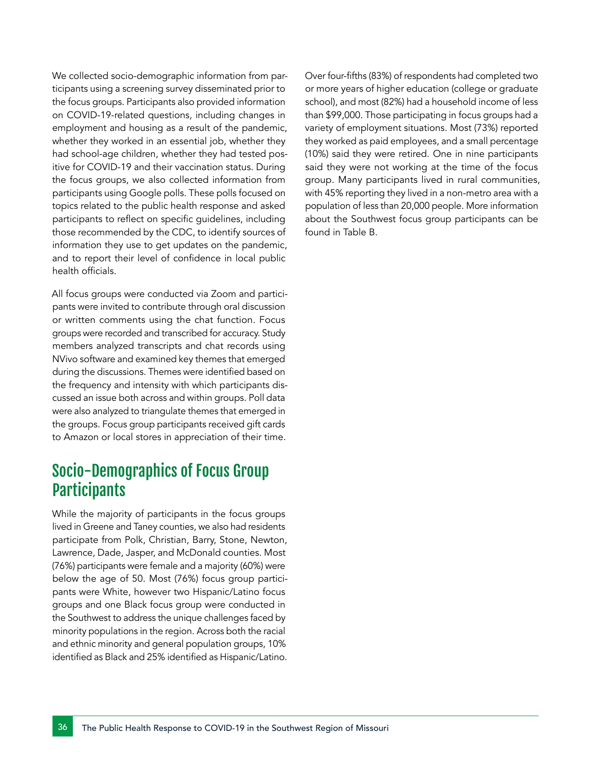We collected socio-demographic information from participants using a screening survey disseminated prior to the focus groups. Participants also provided information on COVID-19-related questions, including changes in employment and housing as a result of the pandemic, whether they worked in an essential job, whether they had school-age children, whether they had tested positive for COVID-19 and their vaccination status. During the focus groups, we also collected information from participants using Google polls. These polls focused on topics related to the public health response and asked participants to reflect on specific guidelines, including those recommended by the CDC, to identify sources of information they use to get updates on the pandemic, and to report their level of confidence in local public health officials.

All focus groups were conducted via Zoom and participants were invited to contribute through oral discussion or written comments using the chat function. Focus groups were recorded and transcribed for accuracy. Study members analyzed transcripts and chat records using NVivo software and examined key themes that emerged during the discussions. Themes were identified based on the frequency and intensity with which participants discussed an issue both across and within groups. Poll data were also analyzed to triangulate themes that emerged in the groups. Focus group participants received gift cards to Amazon or local stores in appreciation of their time.

### Socio-Demographics of Focus Group **Participants**

While the majority of participants in the focus groups lived in Greene and Taney counties, we also had residents participate from Polk, Christian, Barry, Stone, Newton, Lawrence, Dade, Jasper, and McDonald counties. Most (76%) participants were female and a majority (60%) were below the age of 50. Most (76%) focus group participants were White, however two Hispanic/Latino focus groups and one Black focus group were conducted in the Southwest to address the unique challenges faced by minority populations in the region. Across both the racial and ethnic minority and general population groups, 10% identified as Black and 25% identified as Hispanic/Latino. Over four-fifths (83%) of respondents had completed two or more years of higher education (college or graduate school), and most (82%) had a household income of less than \$99,000. Those participating in focus groups had a variety of employment situations. Most (73%) reported they worked as paid employees, and a small percentage (10%) said they were retired. One in nine participants said they were not working at the time of the focus group. Many participants lived in rural communities, with 45% reporting they lived in a non-metro area with a population of less than 20,000 people. More information about the Southwest focus group participants can be found in Table B.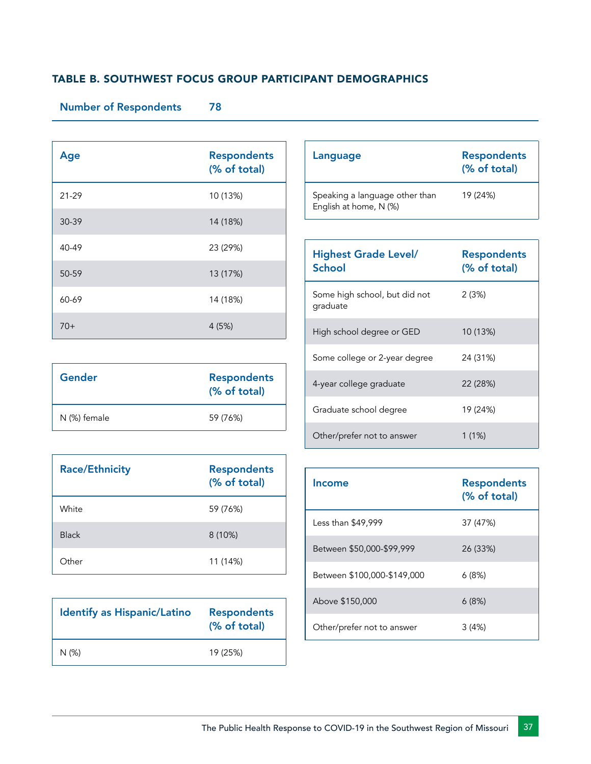#### TABLE B. SOUTHWEST FOCUS GROUP PARTICIPANT DEMOGRAPHICS

#### Number of Respondents 78

| Age   | <b>Respondents</b><br>(% of total) |
|-------|------------------------------------|
| 21-29 | 10 (13%)                           |
| 30-39 | 14 (18%)                           |
| 40-49 | 23 (29%)                           |
| 50-59 | 13 (17%)                           |
| 60-69 | 14 (18%)                           |
| $70+$ | 4(5%)                              |

| Gender       | <b>Respondents</b><br>(% of total) |
|--------------|------------------------------------|
| N (%) female | 59 (76%)                           |

| <b>Race/Ethnicity</b> | <b>Respondents</b><br>(% of total) |
|-----------------------|------------------------------------|
| White                 | 59 (76%)                           |
| <b>Black</b>          | 8(10%)                             |
| Other                 | 11 (14%)                           |

| <b>Identify as Hispanic/Latino</b> | <b>Respondents</b><br>(% of total) |
|------------------------------------|------------------------------------|
| N (%)                              | 19 (25%)                           |

| Language                                                 | <b>Respondents</b><br>(% of total) |
|----------------------------------------------------------|------------------------------------|
| Speaking a language other than<br>English at home, N (%) | 19 (24%)                           |

| <b>Highest Grade Level/</b><br>School     | <b>Respondents</b><br>(% of total) |
|-------------------------------------------|------------------------------------|
| Some high school, but did not<br>graduate | 2(3%)                              |
| High school degree or GED                 | 10 (13%)                           |
| Some college or 2-year degree             | 24 (31%)                           |
| 4-year college graduate                   | 22 (28%)                           |
| Graduate school degree                    | 19 (24%)                           |
| Other/prefer not to answer                | 1 (1%)                             |

| Income                      | <b>Respondents</b><br>(% of total) |
|-----------------------------|------------------------------------|
| Less than \$49,999          | 37 (47%)                           |
| Between \$50,000-\$99,999   | 26 (33%)                           |
| Between \$100,000-\$149,000 | 6(8%)                              |
| Above \$150,000             | 6(8%)                              |
| Other/prefer not to answer  | 3 (4%)                             |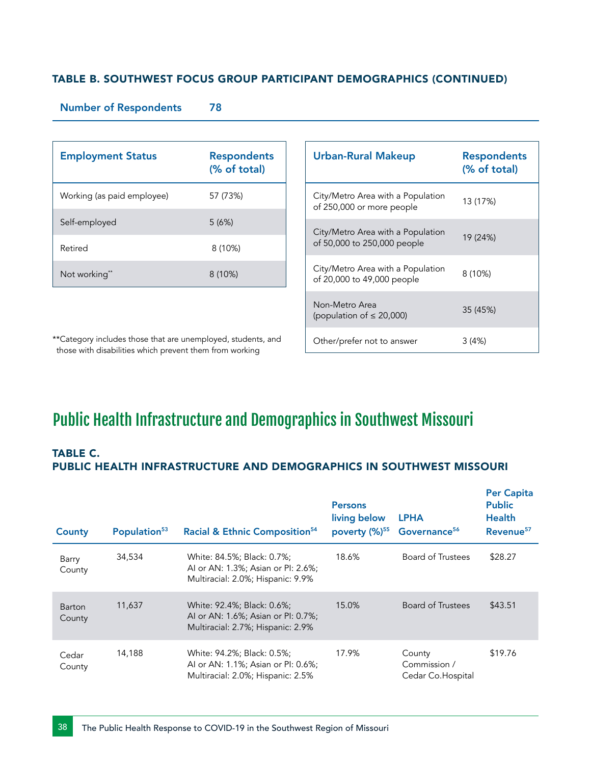#### TABLE B. SOUTHWEST FOCUS GROUP PARTICIPANT DEMOGRAPHICS (CONTINUED)

#### Number of Respondents 78

| <b>Employment Status</b>   | <b>Respondents</b><br>(% of total) |
|----------------------------|------------------------------------|
| Working (as paid employee) | 57 (73%)                           |
| Self-employed              | 5(6%)                              |
| Retired                    | 8(10%)                             |
| Not working**              | 8(10%)                             |

| <b>Urban-Rural Makeup</b>                                        | <b>Respondents</b><br>(% of total) |
|------------------------------------------------------------------|------------------------------------|
| City/Metro Area with a Population<br>of 250,000 or more people   | 13 (17%)                           |
| City/Metro Area with a Population<br>of 50,000 to 250,000 people | 19 (24%)                           |
| City/Metro Area with a Population<br>of 20,000 to 49,000 people  | 8 (10%)                            |
| Non-Metro Area<br>(population of $\leq$ 20,000)                  | 35 (45%)                           |
| Other/prefer not to answer                                       | 3 (4%)                             |

\*\*Category includes those that are unemployed, students, and those with disabilities which prevent them from working

## Public Health Infrastructure and Demographics in Southwest Missouri

#### TABLE C. PUBLIC HEALTH INFRASTRUCTURE AND DEMOGRAPHICS IN SOUTHWEST MISSOURI

| County                  | Population <sup>53</sup> | Racial & Ethnic Composition <sup>54</sup>                                                             | <b>Persons</b><br>living below | <b>LPHA</b><br>poverty (%) <sup>55</sup> Governance <sup>56</sup> | <b>Per Capita</b><br><b>Public</b><br><b>Health</b><br>Revenue <sup>57</sup> |
|-------------------------|--------------------------|-------------------------------------------------------------------------------------------------------|--------------------------------|-------------------------------------------------------------------|------------------------------------------------------------------------------|
| Barry<br>County         | 34,534                   | White: 84.5%; Black: 0.7%;<br>AI or AN: 1.3%; Asian or PI: 2.6%;<br>Multiracial: 2.0%; Hispanic: 9.9% | 18.6%                          | Board of Trustees                                                 | \$28.27                                                                      |
| <b>Barton</b><br>County | 11,637                   | White: 92.4%; Black: 0.6%;<br>AI or AN: 1.6%; Asian or PI: 0.7%;<br>Multiracial: 2.7%; Hispanic: 2.9% | 15.0%                          | Board of Trustees                                                 | \$43.51                                                                      |
| Cedar<br>County         | 14,188                   | White: 94.2%; Black: 0.5%;<br>AI or AN: 1.1%; Asian or PI: 0.6%;<br>Multiracial: 2.0%; Hispanic: 2.5% | 17.9%                          | County<br>Commission /<br>Cedar Co. Hospital                      | \$19.76                                                                      |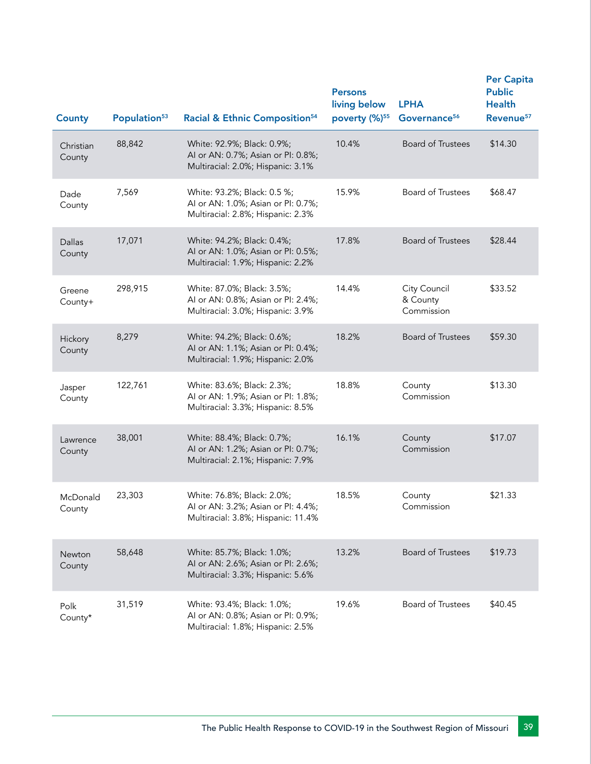| <b>County</b>           | Population <sup>53</sup> | Racial & Ethnic Composition <sup>54</sup>                                                              | <b>Persons</b><br>living below<br>poverty (%) <sup>55</sup> | <b>LPHA</b><br>Governance <sup>56</sup> | <b>Per Capita</b><br><b>Public</b><br><b>Health</b><br>Revenue <sup>57</sup> |
|-------------------------|--------------------------|--------------------------------------------------------------------------------------------------------|-------------------------------------------------------------|-----------------------------------------|------------------------------------------------------------------------------|
| Christian<br>County     | 88,842                   | White: 92.9%; Black: 0.9%;<br>Al or AN: 0.7%; Asian or PI: 0.8%;<br>Multiracial: 2.0%; Hispanic: 3.1%  | 10.4%                                                       | <b>Board of Trustees</b>                | \$14.30                                                                      |
| Dade<br>County          | 7,569                    | White: 93.2%; Black: 0.5 %;<br>Al or AN: 1.0%; Asian or Pl: 0.7%;<br>Multiracial: 2.8%; Hispanic: 2.3% | 15.9%                                                       | Board of Trustees                       | \$68.47                                                                      |
| <b>Dallas</b><br>County | 17,071                   | White: 94.2%; Black: 0.4%;<br>Al or AN: 1.0%; Asian or Pl: 0.5%;<br>Multiracial: 1.9%; Hispanic: 2.2%  | 17.8%                                                       | <b>Board of Trustees</b>                | \$28.44                                                                      |
| Greene<br>County+       | 298,915                  | White: 87.0%; Black: 3.5%;<br>Al or AN: 0.8%; Asian or Pl: 2.4%;<br>Multiracial: 3.0%; Hispanic: 3.9%  | 14.4%                                                       | City Council<br>& County<br>Commission  | \$33.52                                                                      |
| Hickory<br>County       | 8,279                    | White: 94.2%; Black: 0.6%;<br>Al or AN: 1.1%; Asian or Pl: 0.4%;<br>Multiracial: 1.9%; Hispanic: 2.0%  | 18.2%                                                       | <b>Board of Trustees</b>                | \$59.30                                                                      |
| Jasper<br>County        | 122,761                  | White: 83.6%; Black: 2.3%;<br>Al or AN: 1.9%; Asian or Pl: 1.8%;<br>Multiracial: 3.3%; Hispanic: 8.5%  | 18.8%                                                       | County<br>Commission                    | \$13.30                                                                      |
| Lawrence<br>County      | 38,001                   | White: 88.4%; Black: 0.7%;<br>Al or AN: 1.2%; Asian or Pl: 0.7%;<br>Multiracial: 2.1%; Hispanic: 7.9%  | 16.1%                                                       | County<br>Commission                    | \$17.07                                                                      |
| McDonald<br>County      | 23,303                   | White: 76.8%; Black: 2.0%;<br>AI or AN: 3.2%: Asian or PI: 4.4%:<br>Multiracial: 3.8%; Hispanic: 11.4% | 18.5%                                                       | County<br>Commission                    | \$21.33                                                                      |
| Newton<br>County        | 58,648                   | White: 85.7%; Black: 1.0%;<br>Al or AN: 2.6%; Asian or Pl: 2.6%;<br>Multiracial: 3.3%; Hispanic: 5.6%  | 13.2%                                                       | <b>Board of Trustees</b>                | \$19.73                                                                      |
| Polk<br>County*         | 31,519                   | White: 93.4%; Black: 1.0%;<br>Al or AN: 0.8%; Asian or Pl: 0.9%;<br>Multiracial: 1.8%; Hispanic: 2.5%  | 19.6%                                                       | <b>Board of Trustees</b>                | \$40.45                                                                      |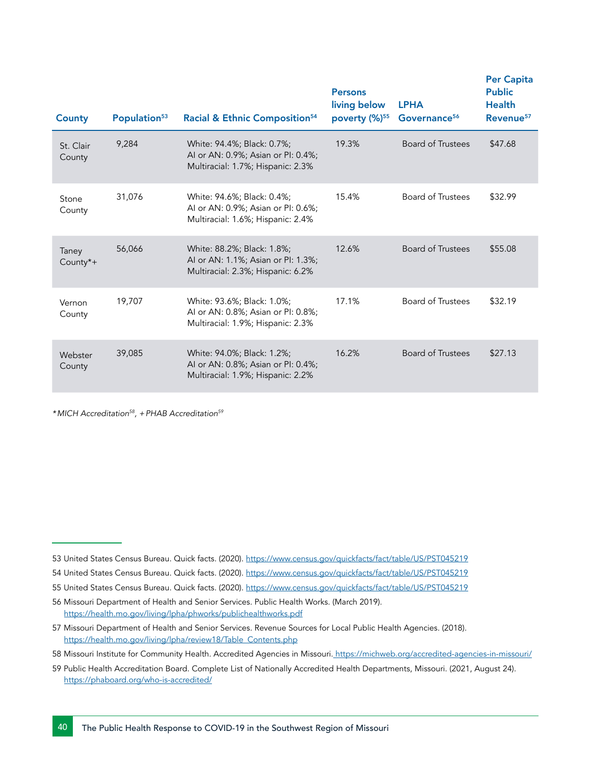| <b>County</b>       | Population <sup>53</sup> | Racial & Ethnic Composition <sup>54</sup>                                                             | <b>Persons</b><br>living below<br>poverty (%) <sup>55</sup> | <b>LPHA</b><br>Governance <sup>56</sup> | <b>Per Capita</b><br><b>Public</b><br><b>Health</b><br>Revenue <sup>57</sup> |
|---------------------|--------------------------|-------------------------------------------------------------------------------------------------------|-------------------------------------------------------------|-----------------------------------------|------------------------------------------------------------------------------|
| St. Clair<br>County | 9,284                    | White: 94.4%; Black: 0.7%;<br>Al or AN: 0.9%; Asian or PI: 0.4%;<br>Multiracial: 1.7%; Hispanic: 2.3% | 19.3%                                                       | <b>Board of Trustees</b>                | \$47.68                                                                      |
| Stone<br>County     | 31,076                   | White: 94.6%; Black: 0.4%;<br>Al or AN: 0.9%; Asian or Pl: 0.6%;<br>Multiracial: 1.6%; Hispanic: 2.4% | 15.4%                                                       | <b>Board of Trustees</b>                | \$32.99                                                                      |
| Taney<br>County*+   | 56,066                   | White: 88.2%; Black: 1.8%;<br>AI or AN: 1.1%; Asian or PI: 1.3%;<br>Multiracial: 2.3%; Hispanic: 6.2% | 12.6%                                                       | Board of Trustees                       | \$55.08                                                                      |
| Vernon<br>County    | 19,707                   | White: 93.6%; Black: 1.0%;<br>AI or AN: 0.8%; Asian or PI: 0.8%;<br>Multiracial: 1.9%; Hispanic: 2.3% | 17.1%                                                       | <b>Board of Trustees</b>                | \$32.19                                                                      |
| Webster<br>County   | 39,085                   | White: 94.0%; Black: 1.2%;<br>Al or AN: 0.8%; Asian or Pl: 0.4%;<br>Multiracial: 1.9%; Hispanic: 2.2% | 16.2%                                                       | <b>Board of Trustees</b>                | \$27.13                                                                      |

*\*MICH Accreditation58, +PHAB Accreditation59*

- 58 Missouri Institute for Community Health. Accredited Agencies in Missouri[. https://michweb.org/accredited-agencies-in-missouri/]( https://michweb.org/accredited-agencies-in-missouri/ )
- 59 Public Health Accreditation Board. Complete List of Nationally Accredited Health Departments, Missouri. (2021, August 24). <https://phaboard.org/who-is-accredited/>

<sup>53</sup> United States Census Bureau. Quick facts. (2020). <https://www.census.gov/quickfacts/fact/table/US/PST045219>

<sup>54</sup> United States Census Bureau. Quick facts. (2020). <https://www.census.gov/quickfacts/fact/table/US/PST045219>

<sup>55</sup> United States Census Bureau. Quick facts. (2020). <https://www.census.gov/quickfacts/fact/table/US/PST045219>

<sup>56</sup> Missouri Department of Health and Senior Services. Public Health Works. (March 2019). <https://health.mo.gov/living/lpha/phworks/publichealthworks.pdf>

<sup>57</sup> Missouri Department of Health and Senior Services. Revenue Sources for Local Public Health Agencies. (2018). [https://health.mo.gov/living/lpha/review18/Table\\_Contents.php](https://health.mo.gov/living/lpha/review18/Table_Contents.php )